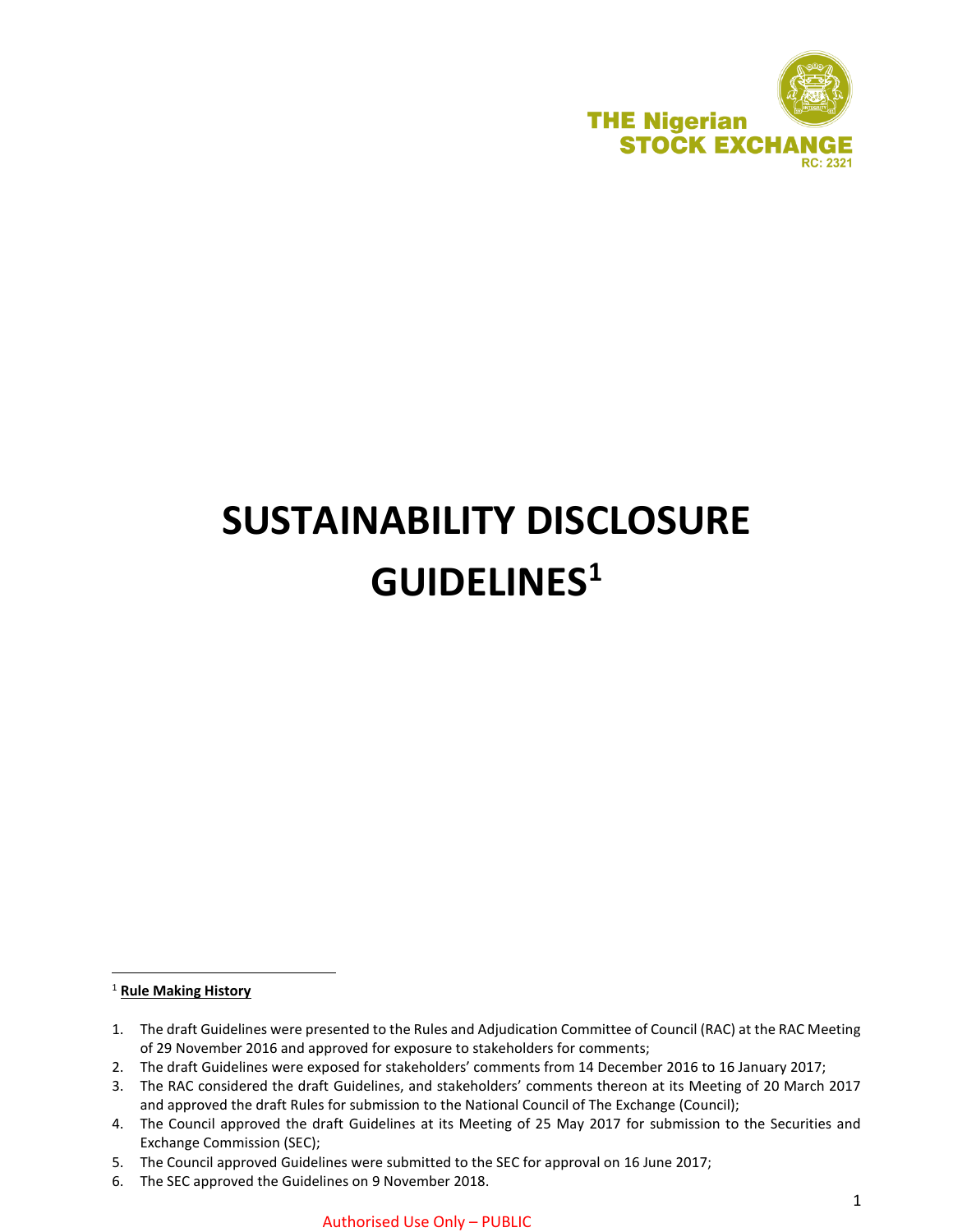

# **SUSTAINABILITY DISCLOSURE GUIDELINES<sup>1</sup>**

<sup>1</sup> **Rule Making History**

 $\overline{\phantom{a}}$ 

6. The SEC approved the Guidelines on 9 November 2018.

<sup>1.</sup> The draft Guidelines were presented to the Rules and Adjudication Committee of Council (RAC) at the RAC Meeting of 29 November 2016 and approved for exposure to stakeholders for comments;

<sup>2.</sup> The draft Guidelines were exposed for stakeholders' comments from 14 December 2016 to 16 January 2017;

<sup>3.</sup> The RAC considered the draft Guidelines, and stakeholders' comments thereon at its Meeting of 20 March 2017 and approved the draft Rules for submission to the National Council of The Exchange (Council);

<sup>4.</sup> The Council approved the draft Guidelines at its Meeting of 25 May 2017 for submission to the Securities and Exchange Commission (SEC);

<sup>5.</sup> The Council approved Guidelines were submitted to the SEC for approval on 16 June 2017;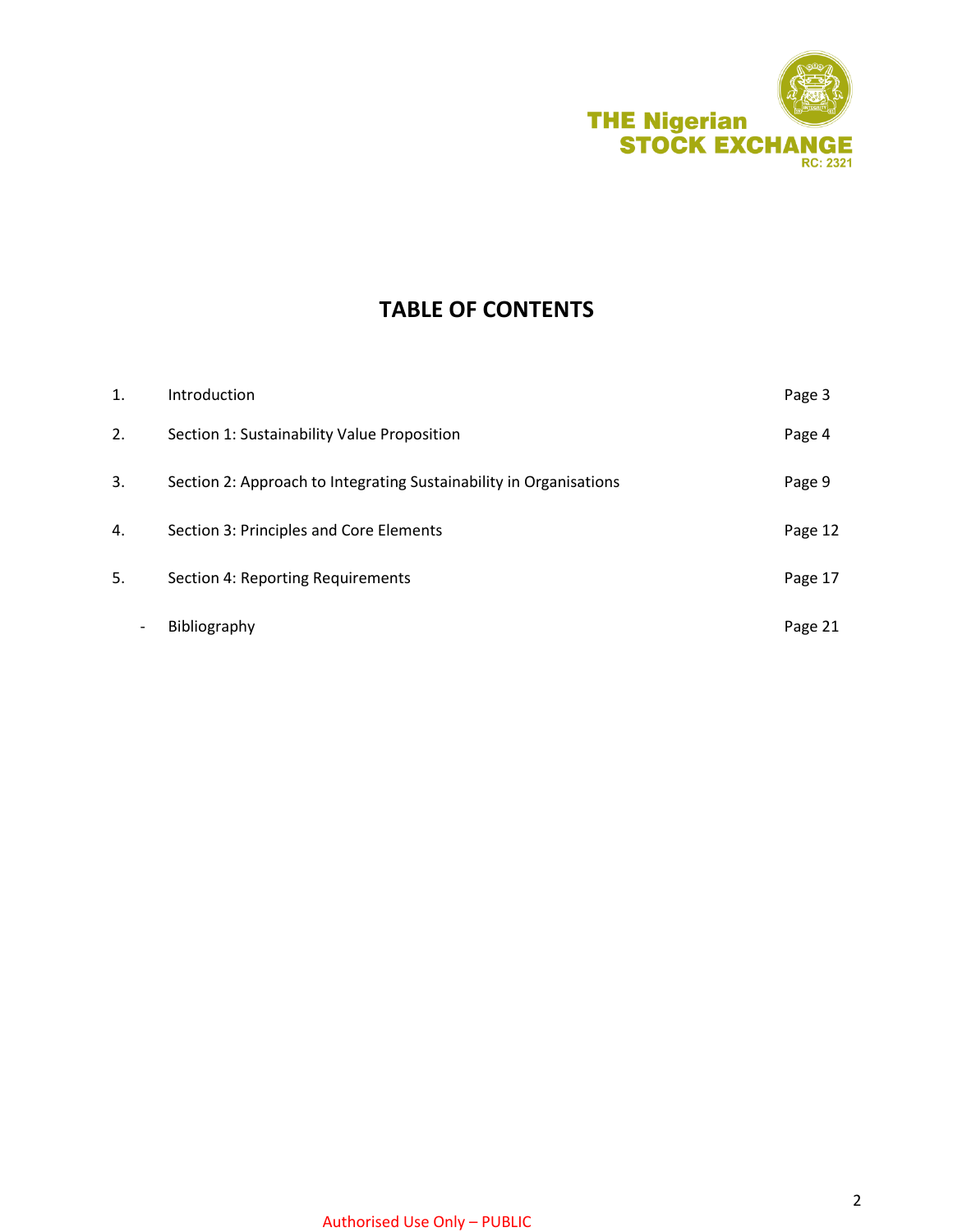

## **TABLE OF CONTENTS**

| 1. | Introduction                                                       | Page 3  |
|----|--------------------------------------------------------------------|---------|
| 2. | Section 1: Sustainability Value Proposition                        | Page 4  |
| 3. | Section 2: Approach to Integrating Sustainability in Organisations | Page 9  |
| 4. | Section 3: Principles and Core Elements                            | Page 12 |
| 5. | Section 4: Reporting Requirements                                  | Page 17 |
|    | Bibliography                                                       | Page 21 |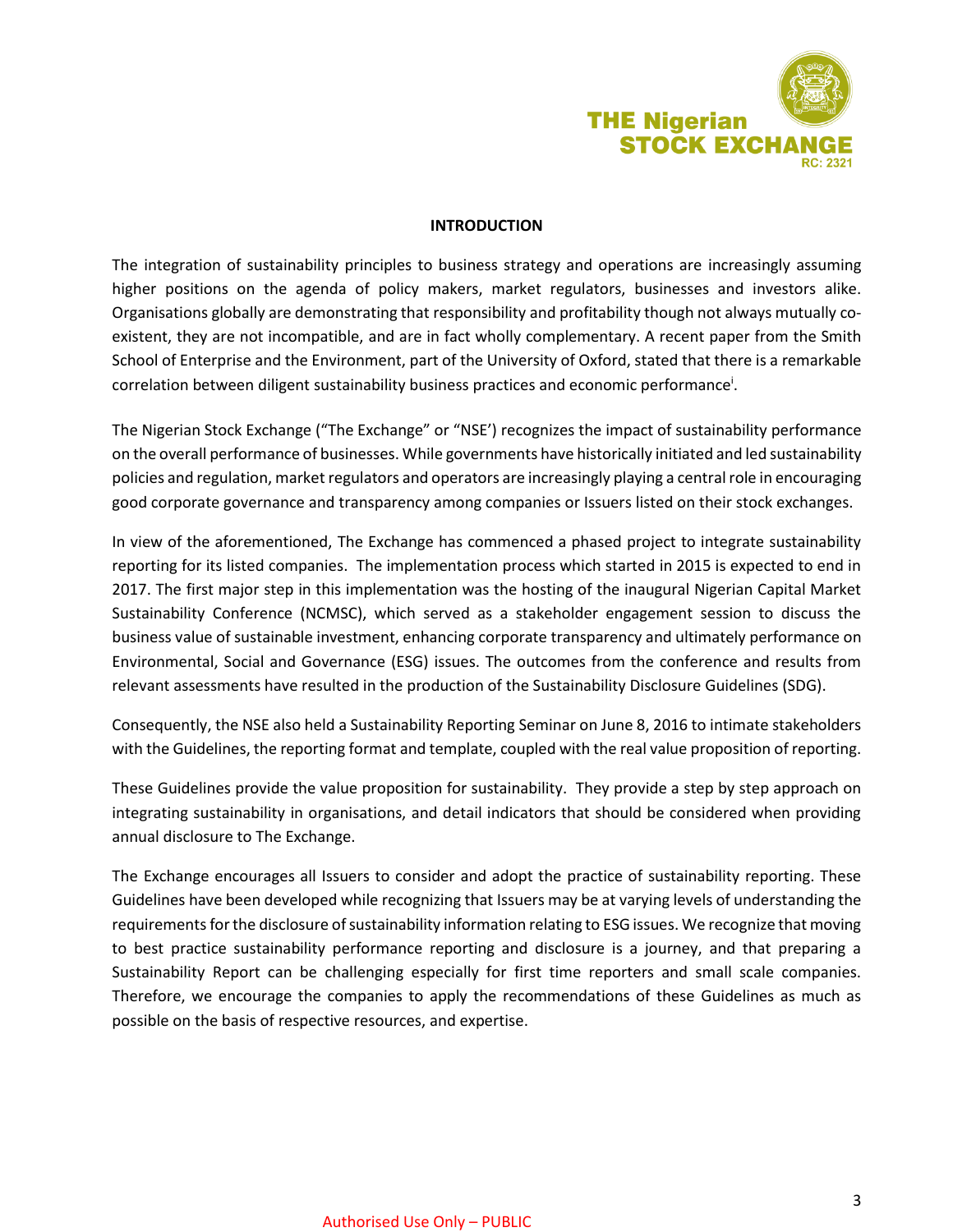

## **INTRODUCTION**

The integration of sustainability principles to business strategy and operations are increasingly assuming higher positions on the agenda of policy makers, market regulators, businesses and investors alike. Organisations globally are demonstrating that responsibility and profitability though not always mutually coexistent, they are not incompatible, and are in fact wholly complementary. A recent paper from the Smith School of Enterprise and the Environment, part of the University of Oxford, stated that there is a remarkable correlation between diligent sustainability business practices and economic performance<sup>i</sup>.

The Nigerian Stock Exchange ("The Exchange" or "NSE') recognizes the impact of sustainability performance on the overall performance of businesses. While governments have historically initiated and led sustainability policies and regulation, market regulators and operators are increasingly playing a central role in encouraging good corporate governance and transparency among companies or Issuers listed on their stock exchanges.

In view of the aforementioned, The Exchange has commenced a phased project to integrate sustainability reporting for its listed companies. The implementation process which started in 2015 is expected to end in 2017. The first major step in this implementation was the hosting of the inaugural Nigerian Capital Market Sustainability Conference (NCMSC), which served as a stakeholder engagement session to discuss the business value of sustainable investment, enhancing corporate transparency and ultimately performance on Environmental, Social and Governance (ESG) issues. The outcomes from the conference and results from relevant assessments have resulted in the production of the Sustainability Disclosure Guidelines (SDG).

Consequently, the NSE also held a Sustainability Reporting Seminar on June 8, 2016 to intimate stakeholders with the Guidelines, the reporting format and template, coupled with the real value proposition of reporting.

These Guidelines provide the value proposition for sustainability. They provide a step by step approach on integrating sustainability in organisations, and detail indicators that should be considered when providing annual disclosure to The Exchange.

The Exchange encourages all Issuers to consider and adopt the practice of sustainability reporting. These Guidelines have been developed while recognizing that Issuers may be at varying levels of understanding the requirements for the disclosure of sustainability information relating to ESG issues. We recognize that moving to best practice sustainability performance reporting and disclosure is a journey, and that preparing a Sustainability Report can be challenging especially for first time reporters and small scale companies. Therefore, we encourage the companies to apply the recommendations of these Guidelines as much as possible on the basis of respective resources, and expertise.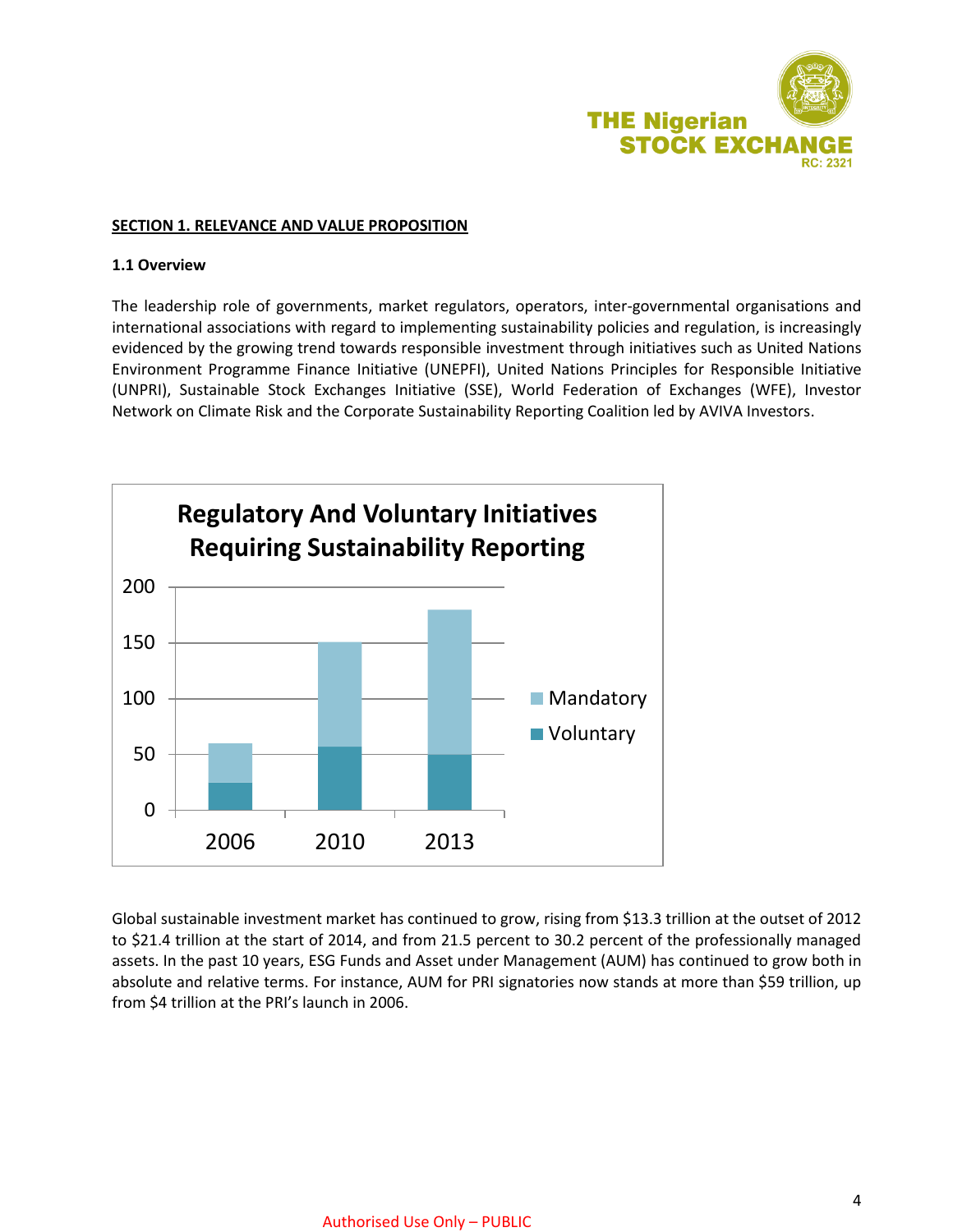

## **SECTION 1. RELEVANCE AND VALUE PROPOSITION**

## **1.1 Overview**

The leadership role of governments, market regulators, operators, inter-governmental organisations and international associations with regard to implementing sustainability policies and regulation, is increasingly evidenced by the growing trend towards responsible investment through initiatives such as United Nations Environment Programme Finance Initiative (UNEPFI), United Nations Principles for Responsible Initiative (UNPRI), Sustainable Stock Exchanges Initiative (SSE), World Federation of Exchanges (WFE), Investor Network on Climate Risk and the Corporate Sustainability Reporting Coalition led by AVIVA Investors.



Global sustainable investment market has continued to grow, rising from \$13.3 trillion at the outset of 2012 to \$21.4 trillion at the start of 2014, and from 21.5 percent to 30.2 percent of the professionally managed assets. In the past 10 years, ESG Funds and Asset under Management (AUM) has continued to grow both in absolute and relative terms. For instance, AUM for PRI signatories now stands at more than \$59 trillion, up from \$4 trillion at the PRI's launch in 2006.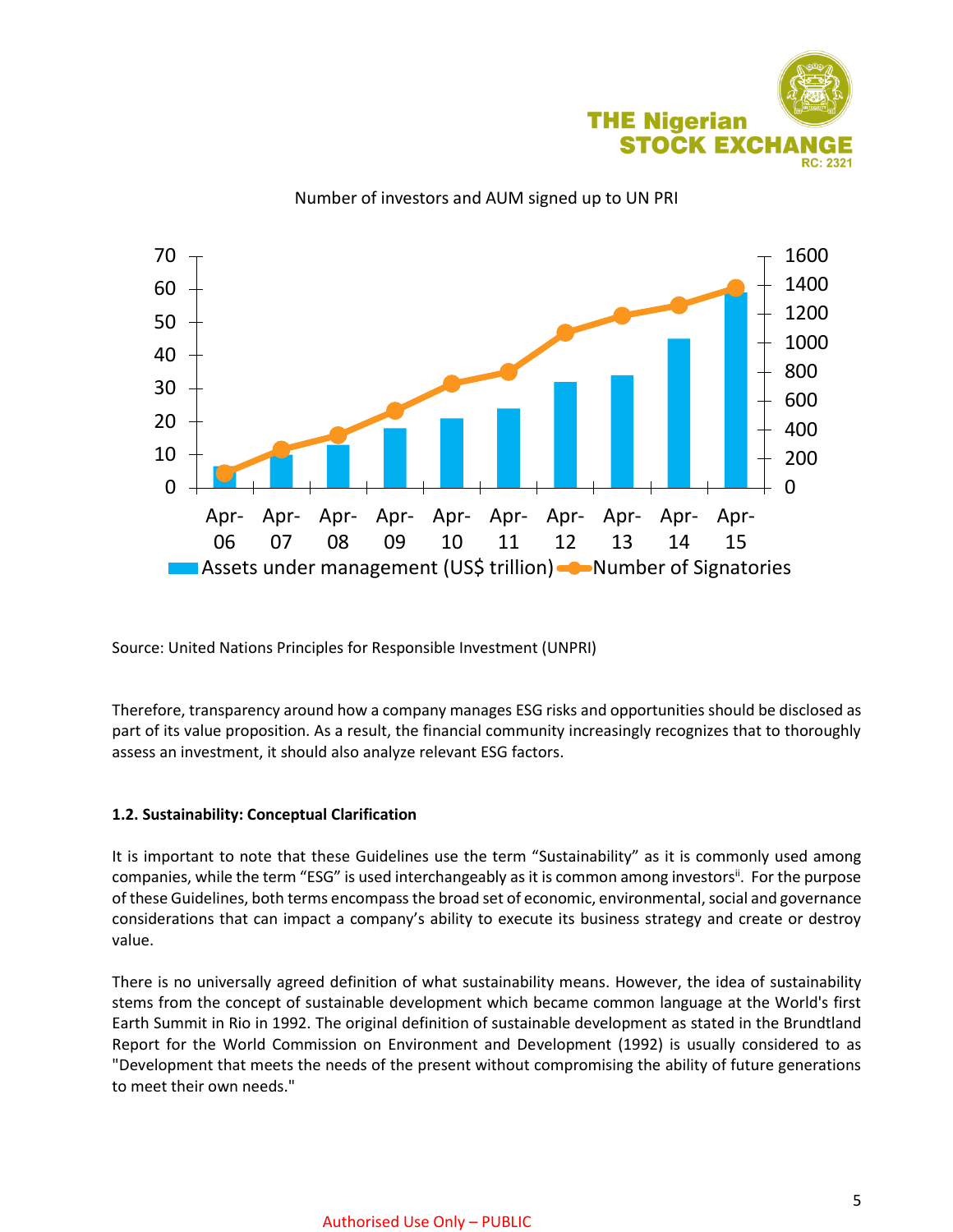



Number of investors and AUM signed up to UN PRI

Source: United Nations Principles for Responsible Investment (UNPRI)

Therefore, transparency around how a company manages ESG risks and opportunities should be disclosed as part of its value proposition. As a result, the financial community increasingly recognizes that to thoroughly assess an investment, it should also analyze relevant ESG factors.

#### **1.2. Sustainability: Conceptual Clarification**

It is important to note that these Guidelines use the term "Sustainability" as it is commonly used among companies, while the term "ESG" is used interchangeably as it is common among investors". For the purpose of these Guidelines, both terms encompass the broad set of economic, environmental, social and governance considerations that can impact a company's ability to execute its business strategy and create or destroy value.

There is no universally agreed definition of what sustainability means. However, the idea of sustainability stems from the concept of sustainable development which became common language at the World's first Earth Summit in Rio in 1992. The original definition of sustainable development as stated in the Brundtland Report for the World Commission on Environment and Development (1992) is usually considered to as "Development that meets the needs of the present without compromising the ability of future generations to meet their own needs."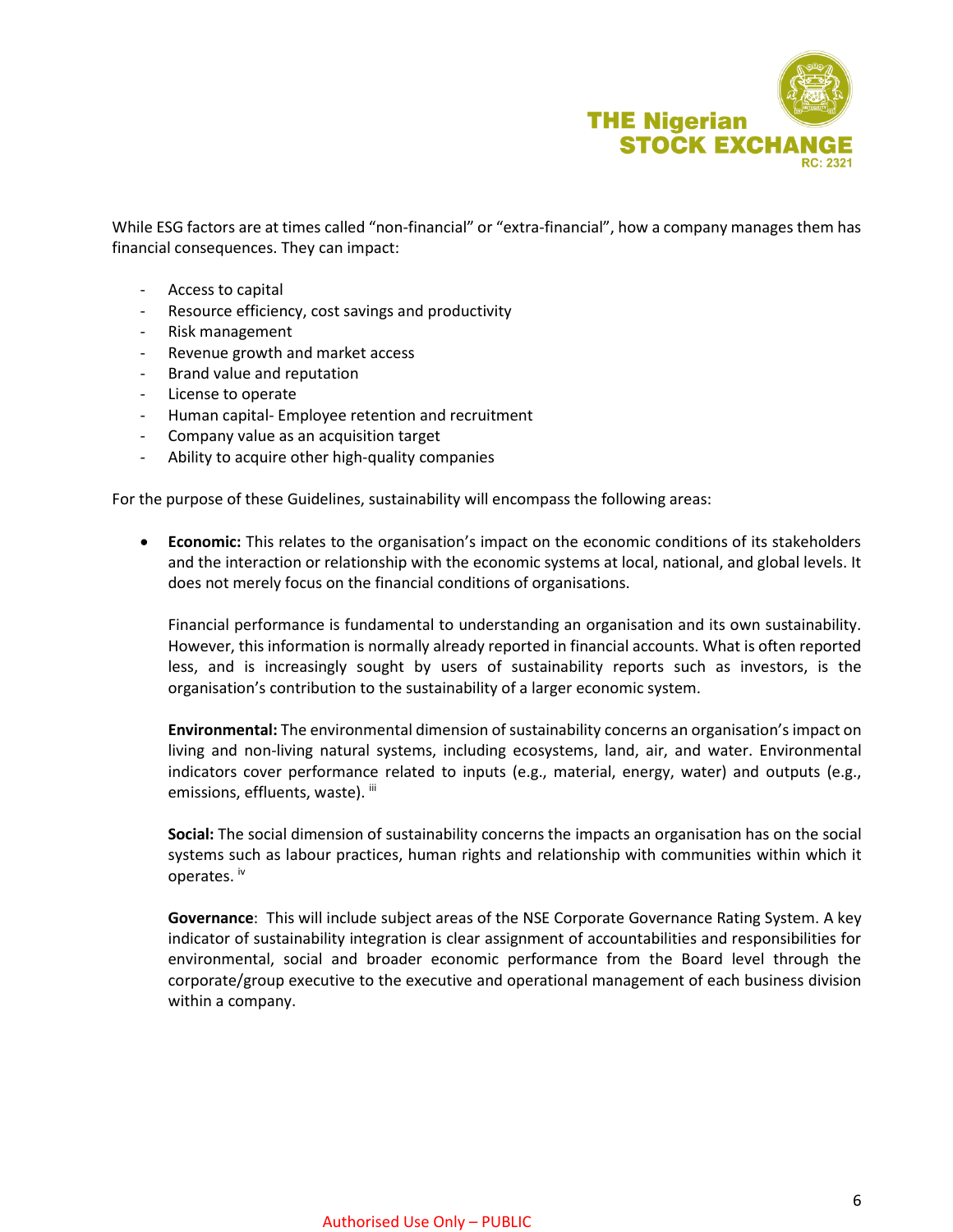

While ESG factors are at times called "non-financial" or "extra-financial", how a company manages them has financial consequences. They can impact:

- Access to capital
- Resource efficiency, cost savings and productivity
- Risk management
- Revenue growth and market access
- Brand value and reputation
- License to operate
- Human capital- Employee retention and recruitment
- Company value as an acquisition target
- Ability to acquire other high-quality companies

For the purpose of these Guidelines, sustainability will encompass the following areas:

 **Economic:** This relates to the organisation's impact on the economic conditions of its stakeholders and the interaction or relationship with the economic systems at local, national, and global levels. It does not merely focus on the financial conditions of organisations.

Financial performance is fundamental to understanding an organisation and its own sustainability. However, this information is normally already reported in financial accounts. What is often reported less, and is increasingly sought by users of sustainability reports such as investors, is the organisation's contribution to the sustainability of a larger economic system.

**Environmental:** The environmental dimension of sustainability concerns an organisation's impact on living and non-living natural systems, including ecosystems, land, air, and water. Environmental indicators cover performance related to inputs (e.g., material, energy, water) and outputs (e.g., emissions, effluents, waste). iii

**Social:** The social dimension of sustainability concerns the impacts an organisation has on the social systems such as labour practices, human rights and relationship with communities within which it operates. iv

**Governance**: This will include subject areas of the NSE Corporate Governance Rating System. A key indicator of sustainability integration is clear assignment of accountabilities and responsibilities for environmental, social and broader economic performance from the Board level through the corporate/group executive to the executive and operational management of each business division within a company.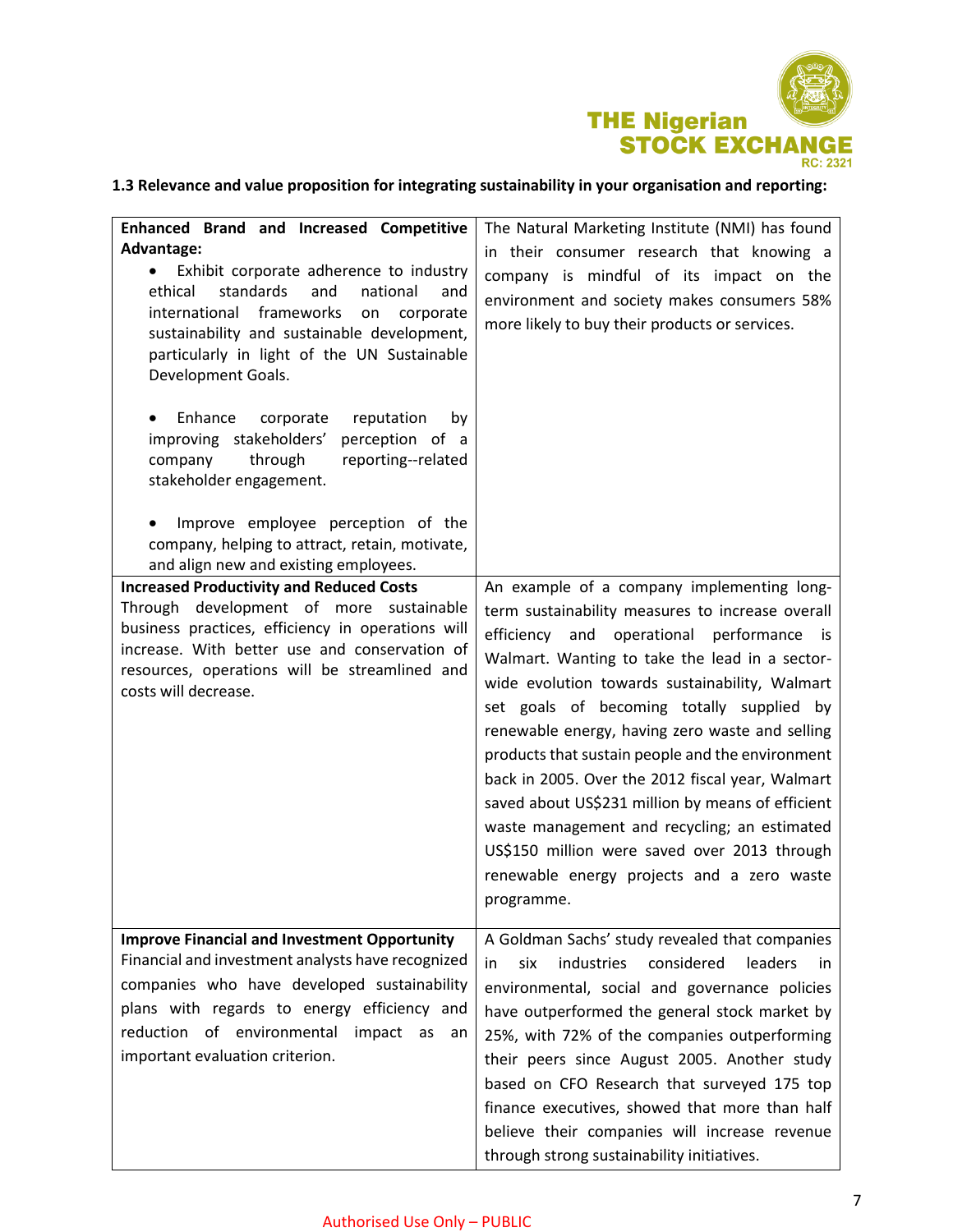

## **1.3 Relevance and value proposition for integrating sustainability in your organisation and reporting:**

| <b>Enhanced Brand and Increased Competitive</b><br>Advantage:<br>Exhibit corporate adherence to industry<br>$\bullet$<br>ethical<br>standards<br>and<br>national<br>and<br>frameworks<br>international<br>on<br>corporate<br>sustainability and sustainable development,<br>particularly in light of the UN Sustainable<br>Development Goals.<br>Enhance<br>reputation<br>corporate<br>by<br>perception of a<br>improving stakeholders'<br>through<br>reporting--related<br>company<br>stakeholder engagement. | The Natural Marketing Institute (NMI) has found<br>in their consumer research that knowing a<br>company is mindful of its impact on the<br>environment and society makes consumers 58%<br>more likely to buy their products or services.                                                                                                                                                                                                                                                                                                                                                                                                                                 |
|----------------------------------------------------------------------------------------------------------------------------------------------------------------------------------------------------------------------------------------------------------------------------------------------------------------------------------------------------------------------------------------------------------------------------------------------------------------------------------------------------------------|--------------------------------------------------------------------------------------------------------------------------------------------------------------------------------------------------------------------------------------------------------------------------------------------------------------------------------------------------------------------------------------------------------------------------------------------------------------------------------------------------------------------------------------------------------------------------------------------------------------------------------------------------------------------------|
| Improve employee perception of the<br>company, helping to attract, retain, motivate,<br>and align new and existing employees.                                                                                                                                                                                                                                                                                                                                                                                  |                                                                                                                                                                                                                                                                                                                                                                                                                                                                                                                                                                                                                                                                          |
| <b>Increased Productivity and Reduced Costs</b><br>Through development of more sustainable<br>business practices, efficiency in operations will<br>increase. With better use and conservation of<br>resources, operations will be streamlined and<br>costs will decrease.                                                                                                                                                                                                                                      | An example of a company implementing long-<br>term sustainability measures to increase overall<br>efficiency and operational performance is<br>Walmart. Wanting to take the lead in a sector-<br>wide evolution towards sustainability, Walmart<br>set goals of becoming totally supplied by<br>renewable energy, having zero waste and selling<br>products that sustain people and the environment<br>back in 2005. Over the 2012 fiscal year, Walmart<br>saved about US\$231 million by means of efficient<br>waste management and recycling; an estimated<br>US\$150 million were saved over 2013 through<br>renewable energy projects and a zero waste<br>programme. |
| <b>Improve Financial and Investment Opportunity</b><br>Financial and investment analysts have recognized<br>companies who have developed sustainability<br>plans with regards to energy efficiency and<br>reduction of environmental<br>impact<br>as<br>an<br>important evaluation criterion.                                                                                                                                                                                                                  | A Goldman Sachs' study revealed that companies<br>industries<br>considered<br>leaders<br>six<br>in.<br>in.<br>environmental, social and governance policies<br>have outperformed the general stock market by<br>25%, with 72% of the companies outperforming<br>their peers since August 2005. Another study<br>based on CFO Research that surveyed 175 top<br>finance executives, showed that more than half<br>believe their companies will increase revenue<br>through strong sustainability initiatives.                                                                                                                                                             |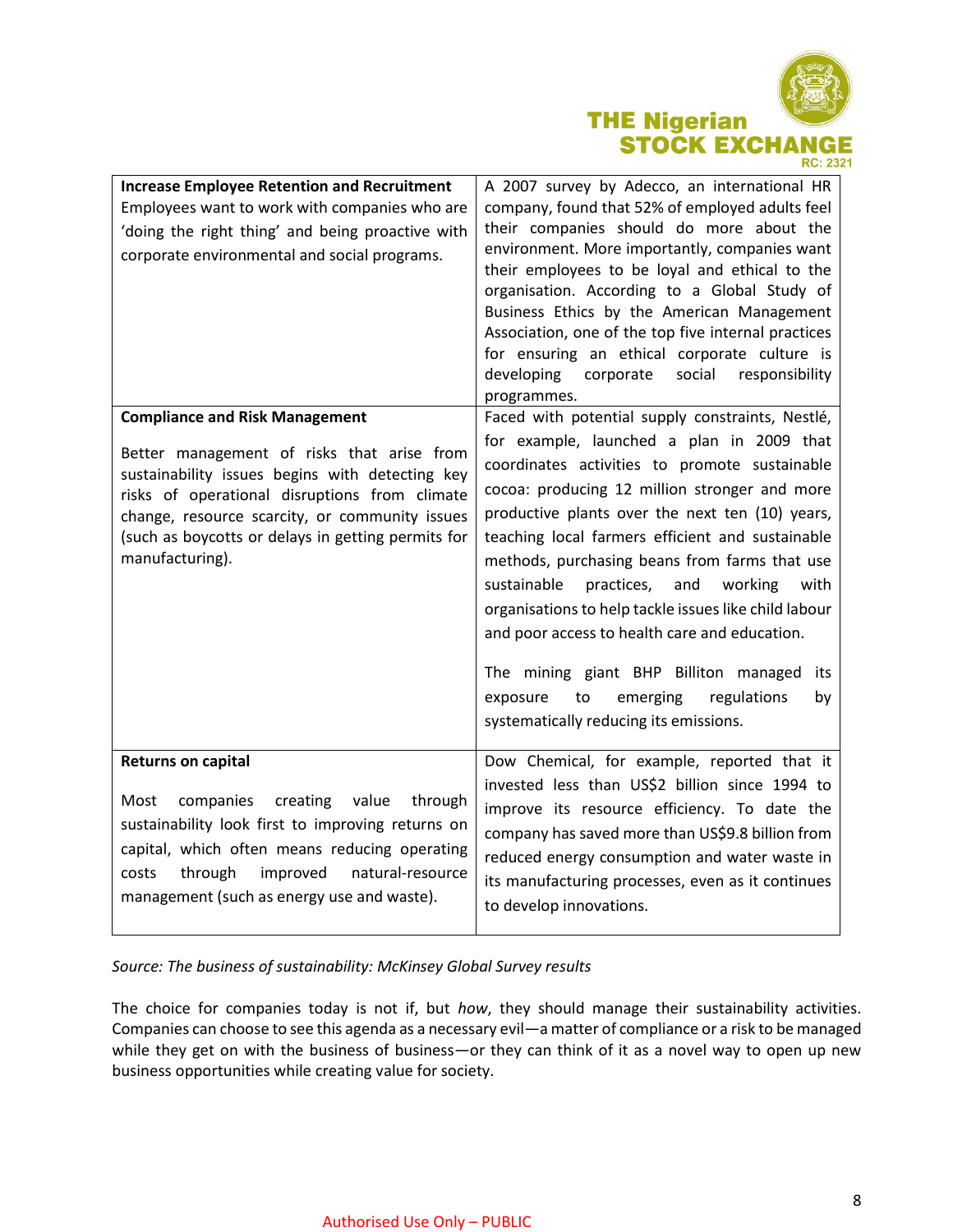

| <b>Increase Employee Retention and Recruitment</b><br>Employees want to work with companies who are<br>'doing the right thing' and being proactive with<br>corporate environmental and social programs.                                                                                                            | A 2007 survey by Adecco, an international HR<br>company, found that 52% of employed adults feel<br>their companies should do more about the<br>environment. More importantly, companies want<br>their employees to be loyal and ethical to the<br>organisation. According to a Global Study of<br>Business Ethics by the American Management<br>Association, one of the top five internal practices<br>for ensuring an ethical corporate culture is<br>developing<br>social<br>responsibility<br>corporate<br>programmes.                                                                                                                                             |
|--------------------------------------------------------------------------------------------------------------------------------------------------------------------------------------------------------------------------------------------------------------------------------------------------------------------|-----------------------------------------------------------------------------------------------------------------------------------------------------------------------------------------------------------------------------------------------------------------------------------------------------------------------------------------------------------------------------------------------------------------------------------------------------------------------------------------------------------------------------------------------------------------------------------------------------------------------------------------------------------------------|
| <b>Compliance and Risk Management</b><br>Better management of risks that arise from<br>sustainability issues begins with detecting key<br>risks of operational disruptions from climate<br>change, resource scarcity, or community issues<br>(such as boycotts or delays in getting permits for<br>manufacturing). | Faced with potential supply constraints, Nestlé,<br>for example, launched a plan in 2009 that<br>coordinates activities to promote sustainable<br>cocoa: producing 12 million stronger and more<br>productive plants over the next ten (10) years,<br>teaching local farmers efficient and sustainable<br>methods, purchasing beans from farms that use<br>sustainable<br>practices,<br>and<br>working<br>with<br>organisations to help tackle issues like child labour<br>and poor access to health care and education.<br>The mining giant BHP Billiton managed<br>its<br>regulations<br>to<br>emerging<br>exposure<br>by<br>systematically reducing its emissions. |
| <b>Returns on capital</b><br>companies<br>creating<br>value<br>through<br>Most<br>sustainability look first to improving returns on<br>capital, which often means reducing operating<br>through<br>improved<br>natural-resource<br>costs<br>management (such as energy use and waste).                             | Dow Chemical, for example, reported that it<br>invested less than US\$2 billion since 1994 to<br>improve its resource efficiency. To date the<br>company has saved more than US\$9.8 billion from<br>reduced energy consumption and water waste in<br>its manufacturing processes, even as it continues<br>to develop innovations.                                                                                                                                                                                                                                                                                                                                    |

*Source: The business of sustainability: McKinsey Global Survey results*

The choice for companies today is not if, but *how*, they should manage their sustainability activities. Companies can choose to see this agenda as a necessary evil—a matter of compliance or a risk to be managed while they get on with the business of business—or they can think of it as a novel way to open up new business opportunities while creating value for society.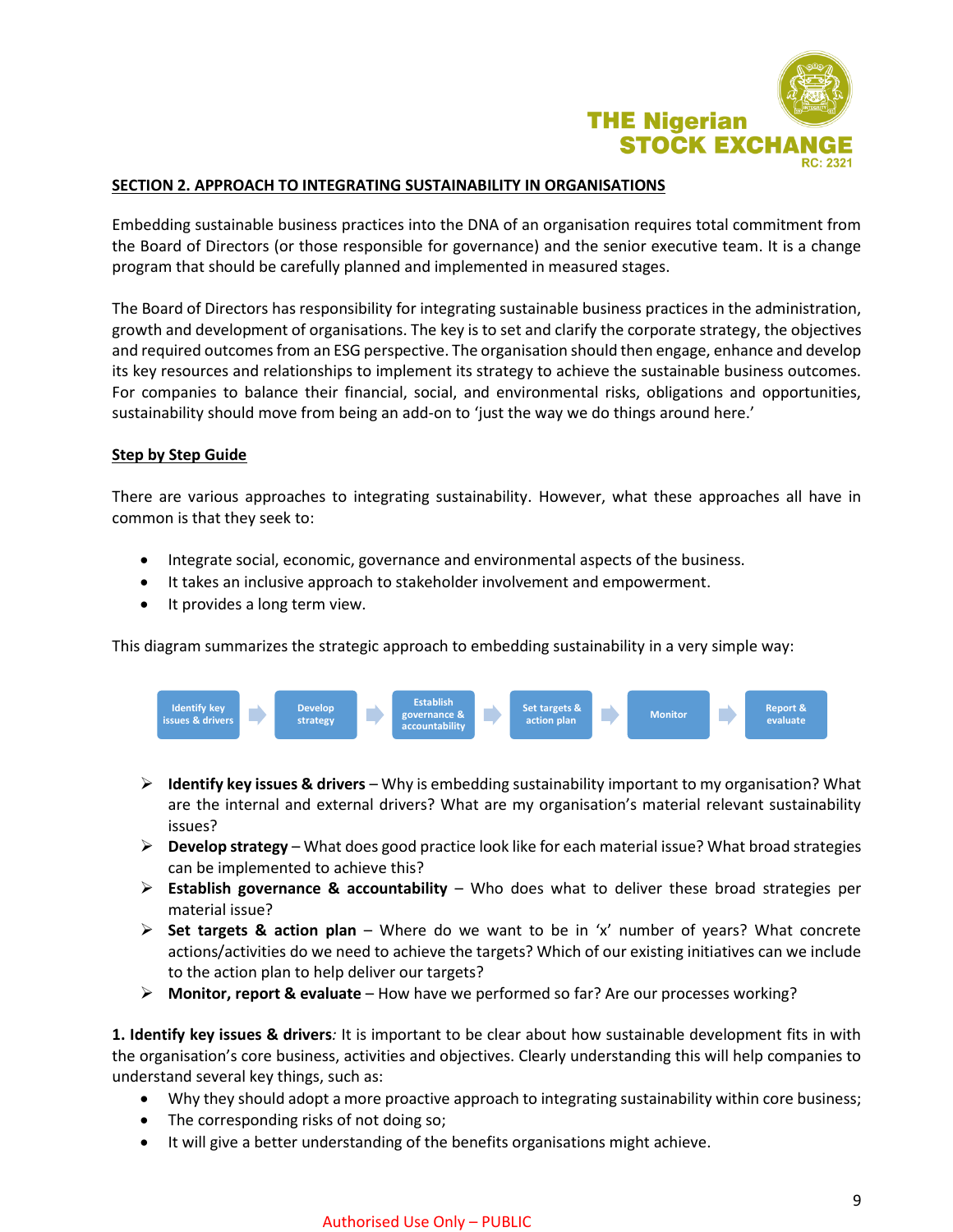

## **SECTION 2. APPROACH TO INTEGRATING SUSTAINABILITY IN ORGANISATIONS**

Embedding sustainable business practices into the DNA of an organisation requires total commitment from the Board of Directors (or those responsible for governance) and the senior executive team. It is a change program that should be carefully planned and implemented in measured stages.

The Board of Directors has responsibility for integrating sustainable business practices in the administration, growth and development of organisations. The key is to set and clarify the corporate strategy, the objectives and required outcomes from an ESG perspective. The organisation should then engage, enhance and develop its key resources and relationships to implement its strategy to achieve the sustainable business outcomes. For companies to balance their financial, social, and environmental risks, obligations and opportunities, sustainability should move from being an add-on to 'just the way we do things around here.'

## **Step by Step Guide**

There are various approaches to integrating sustainability. However, what these approaches all have in common is that they seek to:

- Integrate social, economic, governance and environmental aspects of the business.
- It takes an inclusive approach to stakeholder involvement and empowerment.
- It provides a long term view.

This diagram summarizes the strategic approach to embedding sustainability in a very simple way:



- **Identify key issues & drivers** Why is embedding sustainability important to my organisation? What are the internal and external drivers? What are my organisation's material relevant sustainability issues?
- **Develop strategy** What does good practice look like for each material issue? What broad strategies can be implemented to achieve this?
- **Establish governance & accountability** Who does what to deliver these broad strategies per material issue?
- **Set targets & action plan** Where do we want to be in 'x' number of years? What concrete actions/activities do we need to achieve the targets? Which of our existing initiatives can we include to the action plan to help deliver our targets?
- **Monitor, report & evaluate** How have we performed so far? Are our processes working?

**1. Identify key issues & drivers***:* It is important to be clear about how sustainable development fits in with the organisation's core business, activities and objectives. Clearly understanding this will help companies to understand several key things, such as:

- Why they should adopt a more proactive approach to integrating sustainability within core business;
- The corresponding risks of not doing so;
- It will give a better understanding of the benefits organisations might achieve.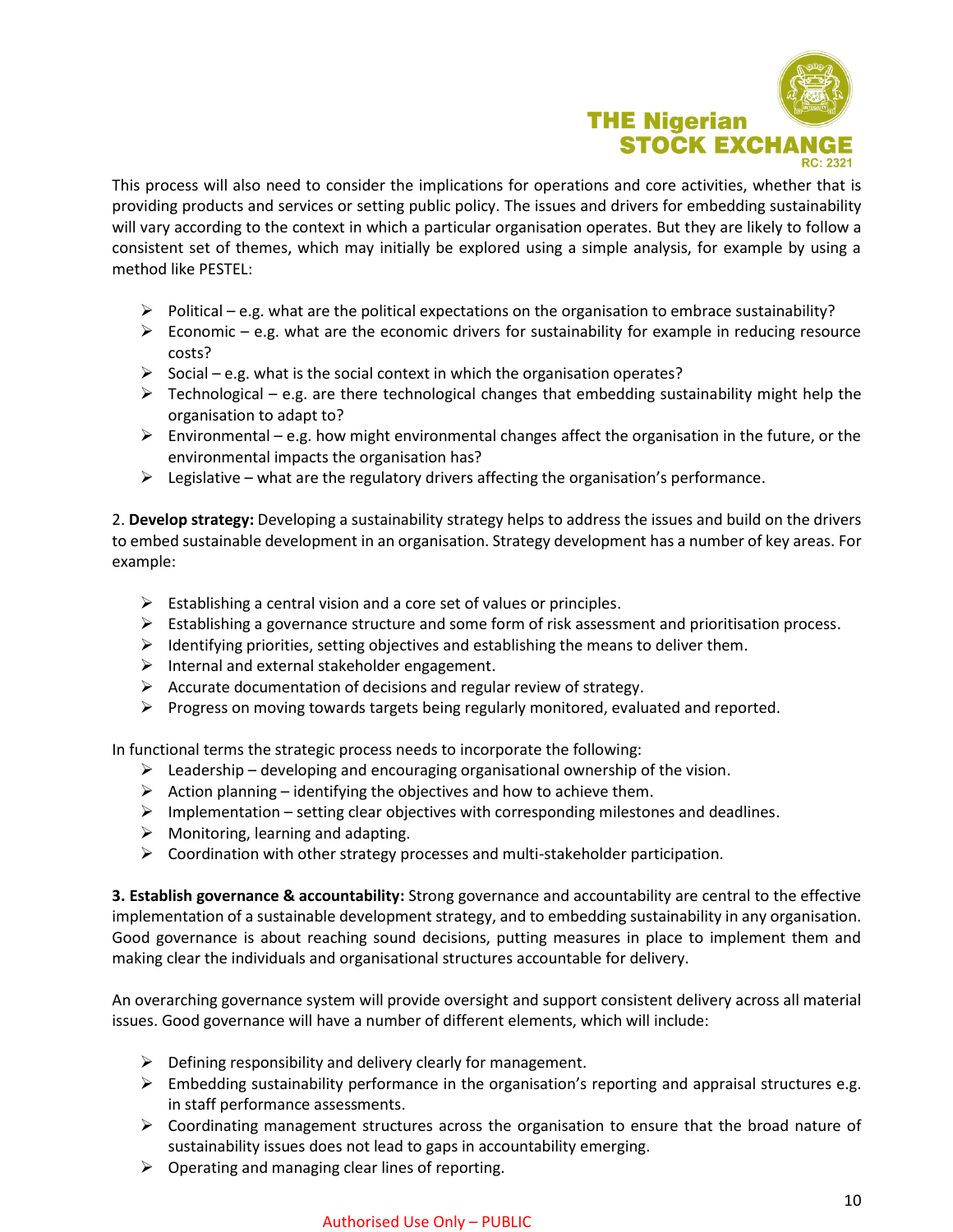

This process will also need to consider the implications for operations and core activities, whether that is providing products and services or setting public policy. The issues and drivers for embedding sustainability will vary according to the context in which a particular organisation operates. But they are likely to follow a consistent set of themes, which may initially be explored using a simple analysis, for example by using a method like PESTEL:

- $\triangleright$  Political e.g. what are the political expectations on the organisation to embrace sustainability?
- $\triangleright$  Economic e.g. what are the economic drivers for sustainability for example in reducing resource costs?
- $\triangleright$  Social e.g. what is the social context in which the organisation operates?
- $\triangleright$  Technological e.g. are there technological changes that embedding sustainability might help the organisation to adapt to?
- $\triangleright$  Environmental e.g. how might environmental changes affect the organisation in the future, or the environmental impacts the organisation has?
- $\triangleright$  Legislative what are the regulatory drivers affecting the organisation's performance.

2. **Develop strategy:** Developing a sustainability strategy helps to address the issues and build on the drivers to embed sustainable development in an organisation. Strategy development has a number of key areas. For example:

- $\triangleright$  Establishing a central vision and a core set of values or principles.
- $\triangleright$  Establishing a governance structure and some form of risk assessment and prioritisation process.
- $\triangleright$  Identifying priorities, setting objectives and establishing the means to deliver them.
- $\triangleright$  Internal and external stakeholder engagement.
- $\triangleright$  Accurate documentation of decisions and regular review of strategy.
- $\triangleright$  Progress on moving towards targets being regularly monitored, evaluated and reported.

In functional terms the strategic process needs to incorporate the following:

- $\triangleright$  Leadership developing and encouraging organisational ownership of the vision.
- $\triangleright$  Action planning identifying the objectives and how to achieve them.
- $\triangleright$  Implementation setting clear objectives with corresponding milestones and deadlines.
- $\triangleright$  Monitoring, learning and adapting.
- $\triangleright$  Coordination with other strategy processes and multi-stakeholder participation.

**3. Establish governance & accountability:** Strong governance and accountability are central to the effective implementation of a sustainable development strategy, and to embedding sustainability in any organisation. Good governance is about reaching sound decisions, putting measures in place to implement them and making clear the individuals and organisational structures accountable for delivery.

An overarching governance system will provide oversight and support consistent delivery across all material issues. Good governance will have a number of different elements, which will include:

- $\triangleright$  Defining responsibility and delivery clearly for management.
- $\triangleright$  Embedding sustainability performance in the organisation's reporting and appraisal structures e.g. in staff performance assessments.
- $\triangleright$  Coordinating management structures across the organisation to ensure that the broad nature of sustainability issues does not lead to gaps in accountability emerging.
- $\triangleright$  Operating and managing clear lines of reporting.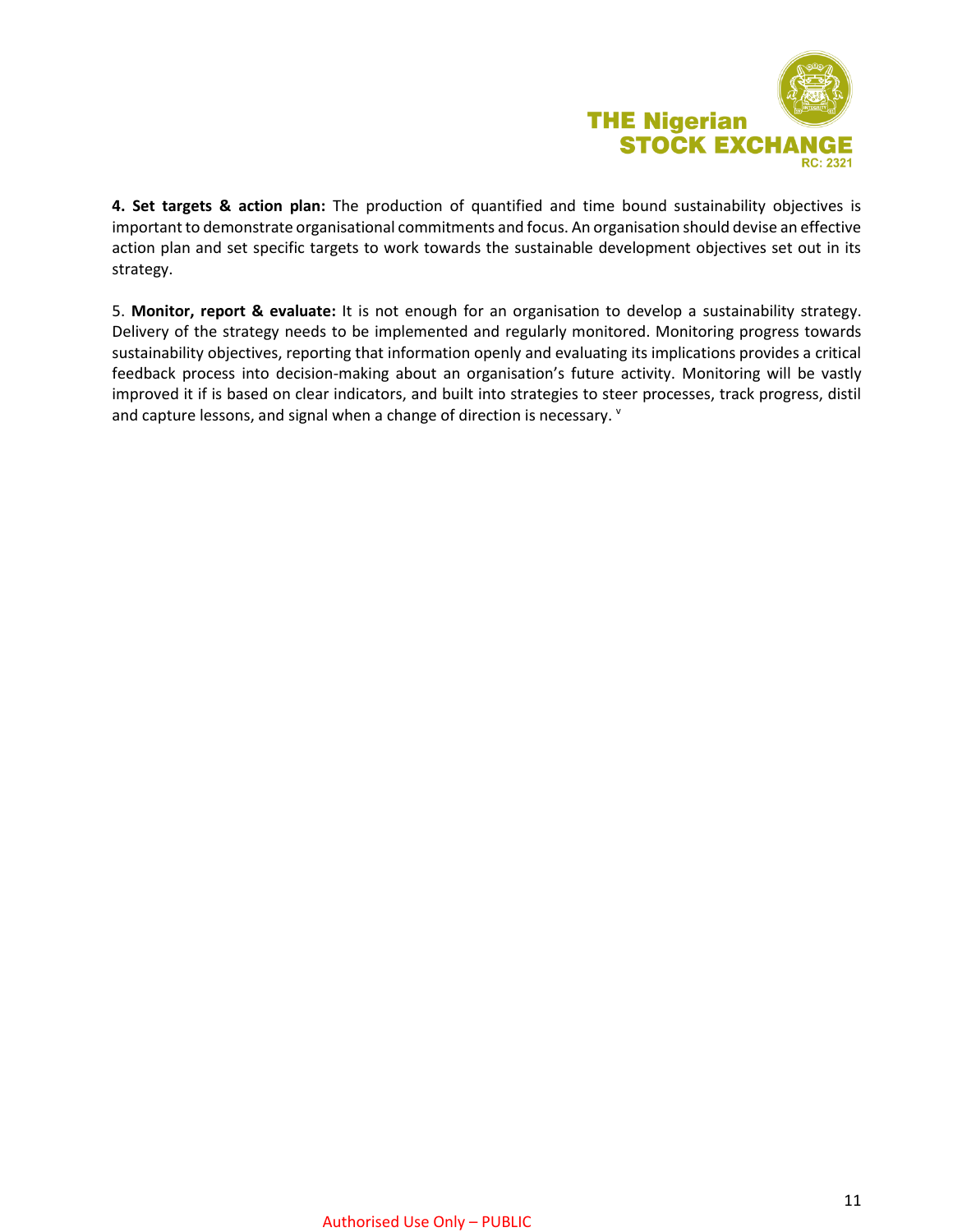

**4. Set targets & action plan:** The production of quantified and time bound sustainability objectives is important to demonstrate organisational commitments and focus. An organisation should devise an effective action plan and set specific targets to work towards the sustainable development objectives set out in its strategy.

5. **Monitor, report & evaluate:** It is not enough for an organisation to develop a sustainability strategy. Delivery of the strategy needs to be implemented and regularly monitored. Monitoring progress towards sustainability objectives, reporting that information openly and evaluating its implications provides a critical feedback process into decision-making about an organisation's future activity. Monitoring will be vastly improved it if is based on clear indicators, and built into strategies to steer processes, track progress, distil and capture lessons, and signal when a change of direction is necessary. V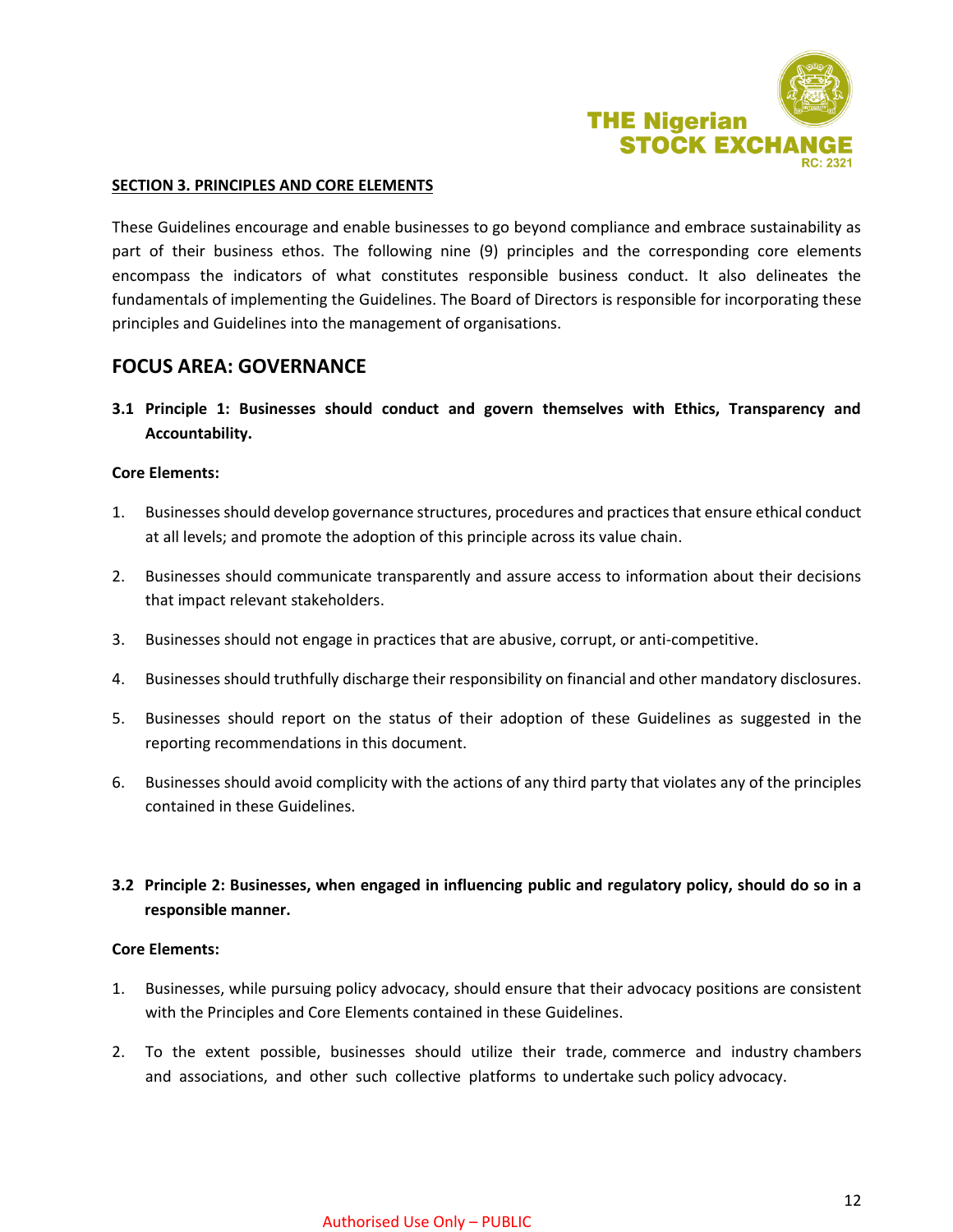

#### **SECTION 3. PRINCIPLES AND CORE ELEMENTS**

These Guidelines encourage and enable businesses to go beyond compliance and embrace sustainability as part of their business ethos. The following nine (9) principles and the corresponding core elements encompass the indicators of what constitutes responsible business conduct. It also delineates the fundamentals of implementing the Guidelines. The Board of Directors is responsible for incorporating these principles and Guidelines into the management of organisations.

## **FOCUS AREA: GOVERNANCE**

**3.1 Principle 1: Businesses should conduct and govern themselves with Ethics, Transparency and Accountability.**

#### **Core Elements:**

- 1. Businesses should develop governance structures, procedures and practices that ensure ethical conduct at all levels; and promote the adoption of this principle across its value chain.
- 2. Businesses should communicate transparently and assure access to information about their decisions that impact relevant stakeholders.
- 3. Businesses should not engage in practices that are abusive, corrupt, or anti-competitive.
- 4. Businesses should truthfully discharge their responsibility on financial and other mandatory disclosures.
- 5. Businesses should report on the status of their adoption of these Guidelines as suggested in the reporting recommendations in this document.
- 6. Businesses should avoid complicity with the actions of any third party that violates any of the principles contained in these Guidelines.

## **3.2 Principle 2: Businesses, when engaged in influencing public and regulatory policy, should do so in a responsible manner.**

#### **Core Elements:**

- 1. Businesses, while pursuing policy advocacy, should ensure that their advocacy positions are consistent with the Principles and Core Elements contained in these Guidelines.
- 2. To the extent possible, businesses should utilize their trade, commerce and industry chambers and associations, and other such collective platforms to undertake such policy advocacy.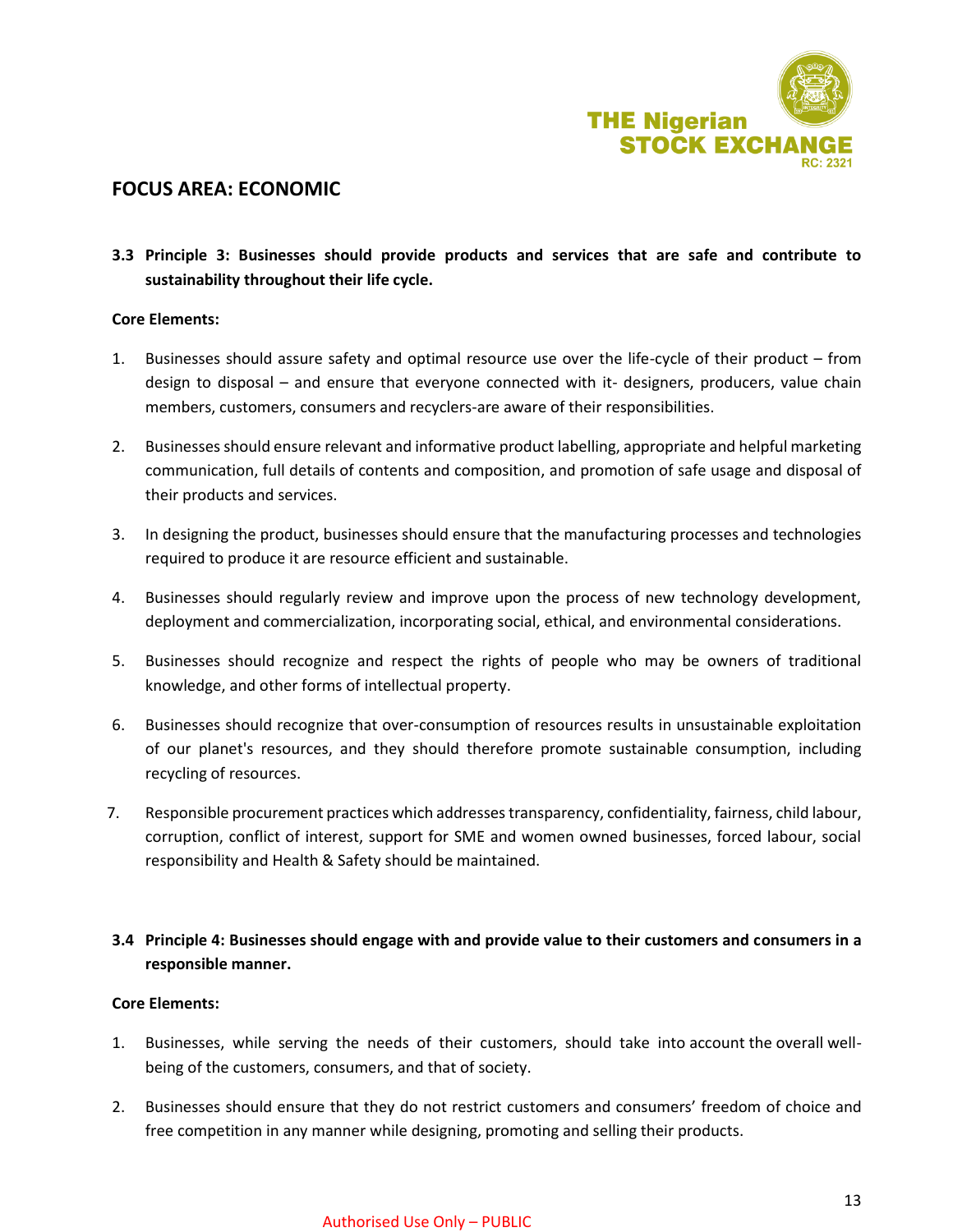

## **FOCUS AREA: ECONOMIC**

**3.3 Principle 3: Businesses should provide products and services that are safe and contribute to sustainability throughout their life cycle.**

## **Core Elements:**

- 1. Businesses should assure safety and optimal resource use over the life-cycle of their product from design to disposal – and ensure that everyone connected with it- designers, producers, value chain members, customers, consumers and recyclers-are aware of their responsibilities.
- 2. Businesses should ensure relevant and informative product labelling, appropriate and helpful marketing communication, full details of contents and composition, and promotion of safe usage and disposal of their products and services.
- 3. In designing the product, businesses should ensure that the manufacturing processes and technologies required to produce it are resource efficient and sustainable.
- 4. Businesses should regularly review and improve upon the process of new technology development, deployment and commercialization, incorporating social, ethical, and environmental considerations.
- 5. Businesses should recognize and respect the rights of people who may be owners of traditional knowledge, and other forms of intellectual property.
- 6. Businesses should recognize that over-consumption of resources results in unsustainable exploitation of our planet's resources, and they should therefore promote sustainable consumption, including recycling of resources.
- 7. Responsible procurement practices which addresses transparency, confidentiality, fairness, child labour, corruption, conflict of interest, support for SME and women owned businesses, forced labour, social responsibility and Health & Safety should be maintained.
- **3.4 Principle 4: Businesses should engage with and provide value to their customers and consumers in a responsible manner.**

#### **Core Elements:**

- 1. Businesses, while serving the needs of their customers, should take into account the overall wellbeing of the customers, consumers, and that of society.
- 2. Businesses should ensure that they do not restrict customers and consumers' freedom of choice and free competition in any manner while designing, promoting and selling their products.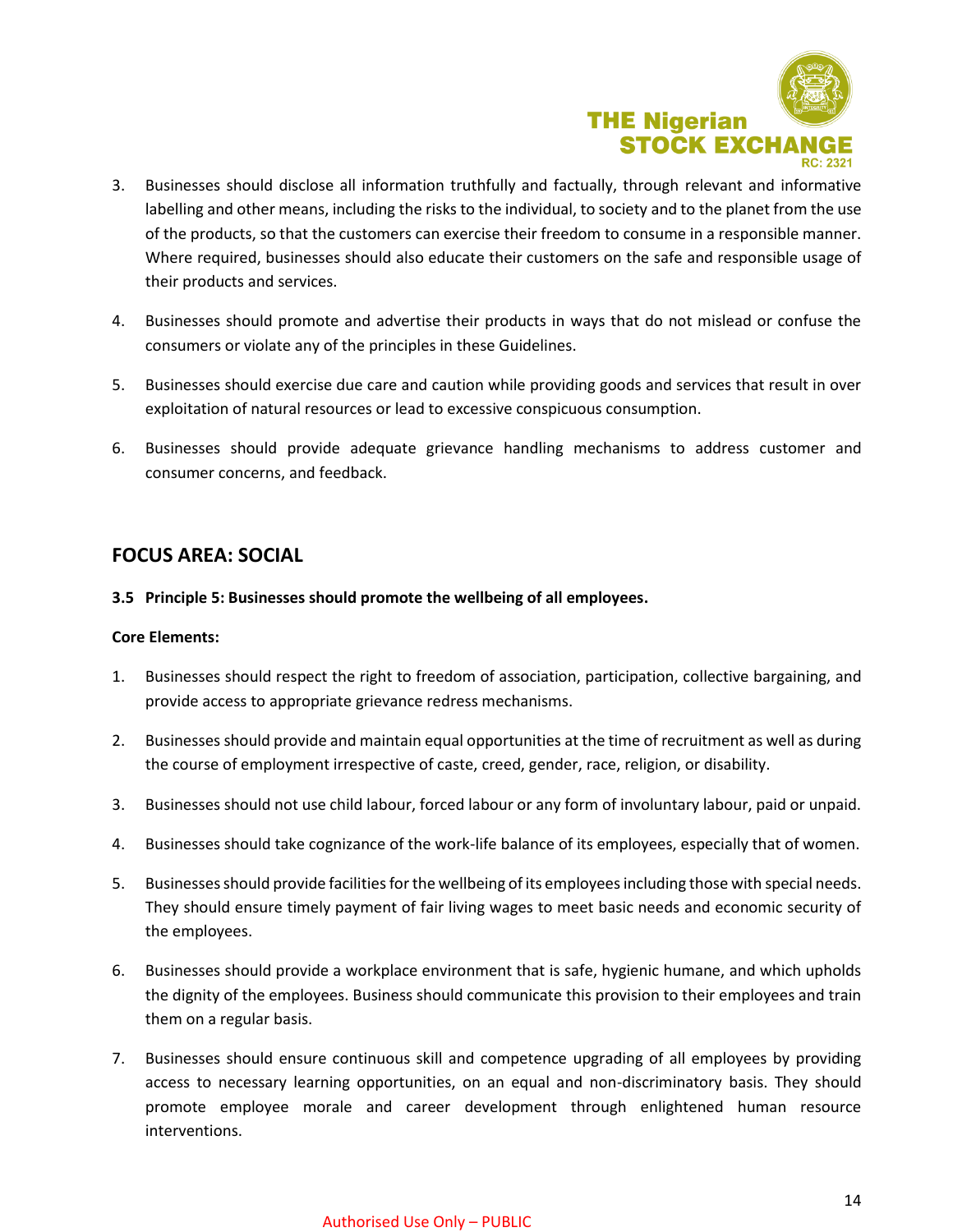

- 3. Businesses should disclose all information truthfully and factually, through relevant and informative labelling and other means, including the risks to the individual, to society and to the planet from the use of the products, so that the customers can exercise their freedom to consume in a responsible manner. Where required, businesses should also educate their customers on the safe and responsible usage of their products and services.
- 4. Businesses should promote and advertise their products in ways that do not mislead or confuse the consumers or violate any of the principles in these Guidelines.
- 5. Businesses should exercise due care and caution while providing goods and services that result in over exploitation of natural resources or lead to excessive conspicuous consumption.
- 6. Businesses should provide adequate grievance handling mechanisms to address customer and consumer concerns, and feedback.

## **FOCUS AREA: SOCIAL**

## **3.5 Principle 5: Businesses should promote the wellbeing of all employees.**

## **Core Elements:**

- 1. Businesses should respect the right to freedom of association, participation, collective bargaining, and provide access to appropriate grievance redress mechanisms.
- 2. Businesses should provide and maintain equal opportunities at the time of recruitment as well as during the course of employment irrespective of caste, creed, gender, race, religion, or disability.
- 3. Businesses should not use child labour, forced labour or any form of involuntary labour, paid or unpaid.
- 4. Businesses should take cognizance of the work-life balance of its employees, especially that of women.
- 5. Businesses should provide facilities for the wellbeing of its employees including those with special needs. They should ensure timely payment of fair living wages to meet basic needs and economic security of the employees.
- 6. Businesses should provide a workplace environment that is safe, hygienic humane, and which upholds the dignity of the employees. Business should communicate this provision to their employees and train them on a regular basis.
- 7. Businesses should ensure continuous skill and competence upgrading of all employees by providing access to necessary learning opportunities, on an equal and non-discriminatory basis. They should promote employee morale and career development through enlightened human resource interventions.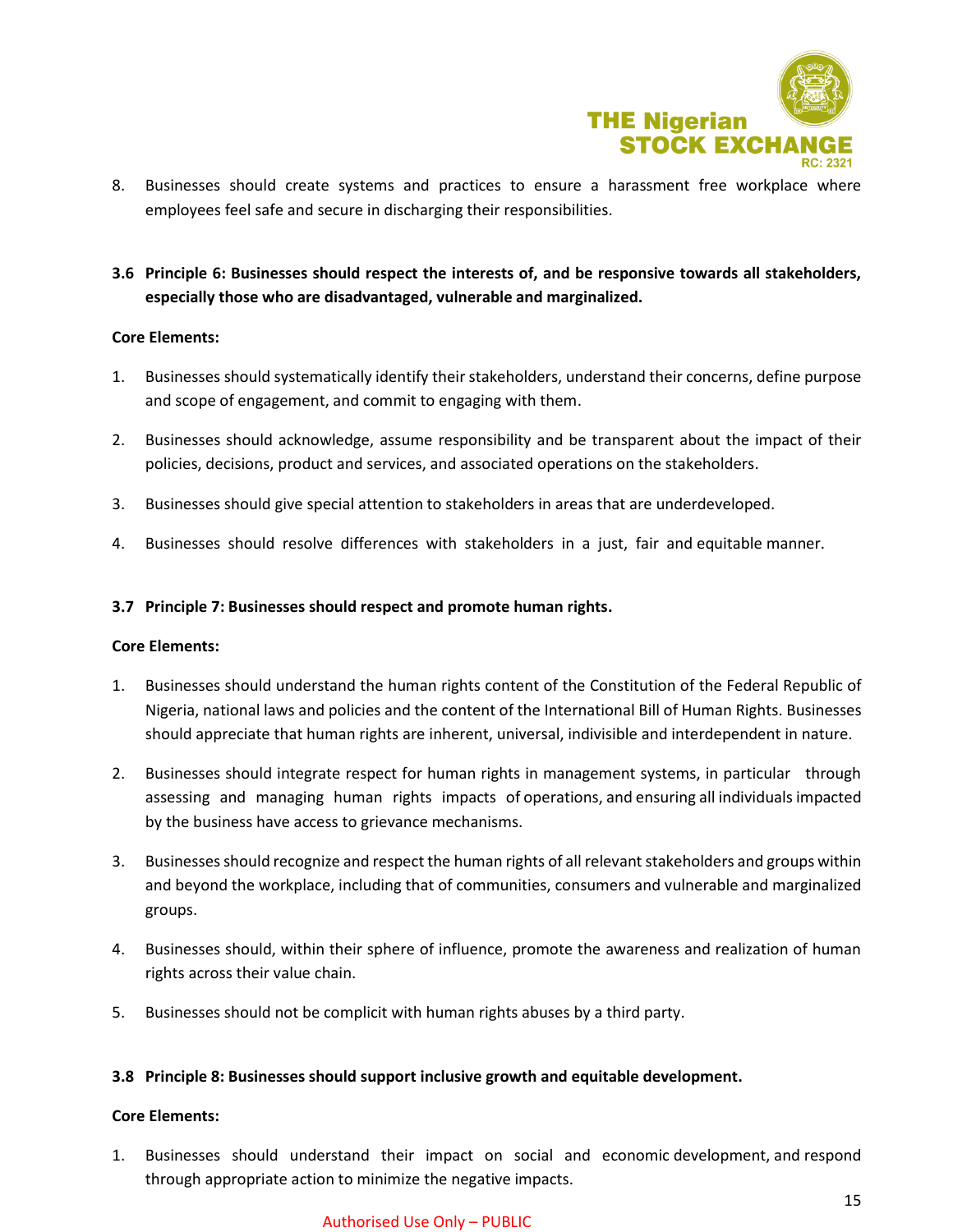

- 8. Businesses should create systems and practices to ensure a harassment free workplace where employees feel safe and secure in discharging their responsibilities.
- **3.6 Principle 6: Businesses should respect the interests of, and be responsive towards all stakeholders, especially those who are disadvantaged, vulnerable and marginalized.**

## **Core Elements:**

- 1. Businesses should systematically identify their stakeholders, understand their concerns, define purpose and scope of engagement, and commit to engaging with them.
- 2. Businesses should acknowledge, assume responsibility and be transparent about the impact of their policies, decisions, product and services, and associated operations on the stakeholders.
- 3. Businesses should give special attention to stakeholders in areas that are underdeveloped.
- 4. Businesses should resolve differences with stakeholders in a just, fair and equitable manner.

## **3.7 Principle 7: Businesses should respect and promote human rights.**

#### **Core Elements:**

- 1. Businesses should understand the human rights content of the Constitution of the Federal Republic of Nigeria, national laws and policies and the content of the International Bill of Human Rights. Businesses should appreciate that human rights are inherent, universal, indivisible and interdependent in nature.
- 2. Businesses should integrate respect for human rights in management systems, in particular through assessing and managing human rights impacts of operations, and ensuring all individuals impacted by the business have access to grievance mechanisms.
- 3. Businesses should recognize and respect the human rights of all relevant stakeholders and groups within and beyond the workplace, including that of communities, consumers and vulnerable and marginalized groups.
- 4. Businesses should, within their sphere of influence, promote the awareness and realization of human rights across their value chain.
- 5. Businesses should not be complicit with human rights abuses by a third party.

#### **3.8 Principle 8: Businesses should support inclusive growth and equitable development.**

## **Core Elements:**

1. Businesses should understand their impact on social and economic development, and respond through appropriate action to minimize the negative impacts.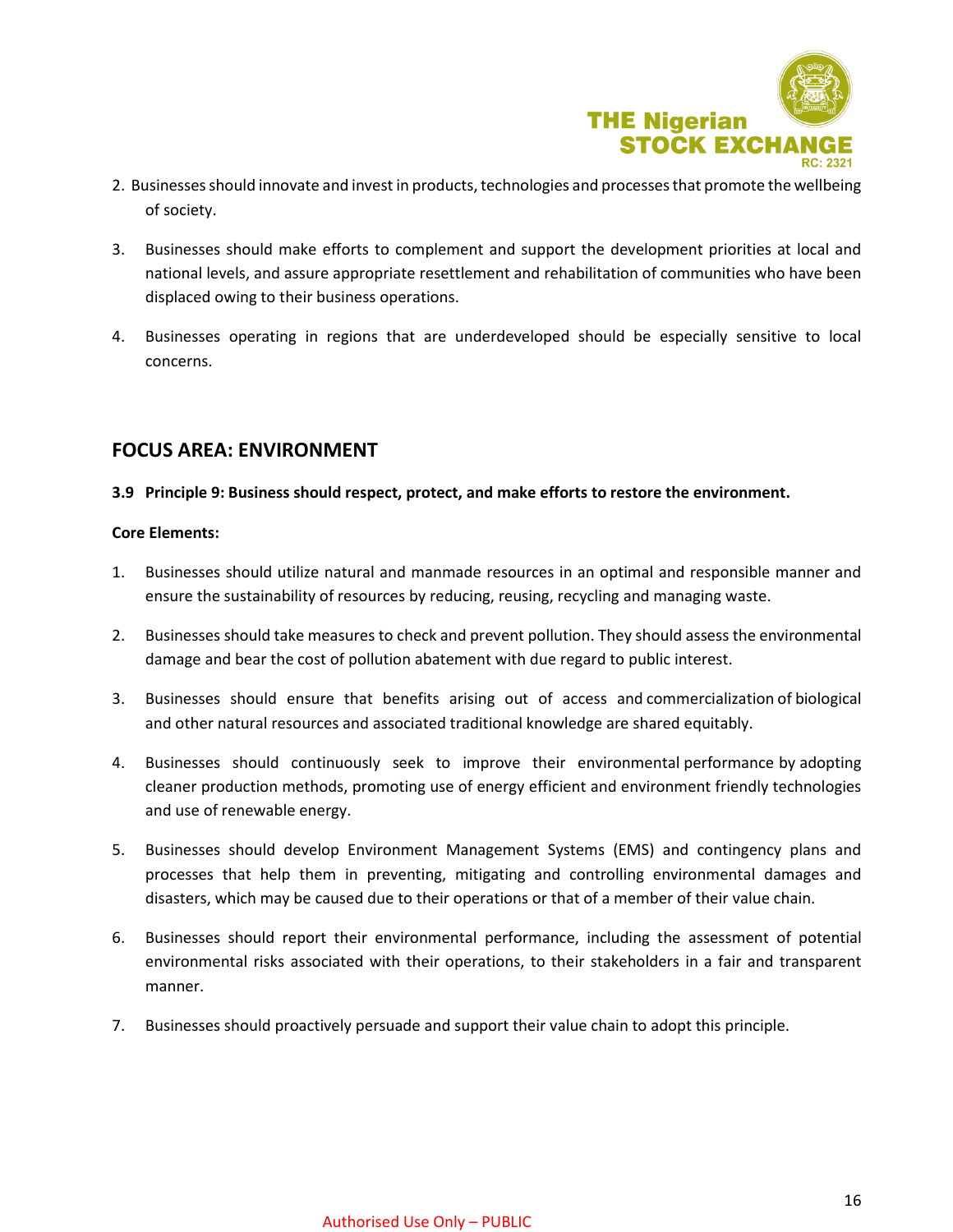

- 2. Businesses should innovate and invest in products, technologies and processes that promote the wellbeing of society.
- 3. Businesses should make efforts to complement and support the development priorities at local and national levels, and assure appropriate resettlement and rehabilitation of communities who have been displaced owing to their business operations.
- 4. Businesses operating in regions that are underdeveloped should be especially sensitive to local concerns.

## **FOCUS AREA: ENVIRONMENT**

## **3.9 Principle 9: Business should respect, protect, and make efforts to restore the environment.**

## **Core Elements:**

- 1. Businesses should utilize natural and manmade resources in an optimal and responsible manner and ensure the sustainability of resources by reducing, reusing, recycling and managing waste.
- 2. Businesses should take measures to check and prevent pollution. They should assess the environmental damage and bear the cost of pollution abatement with due regard to public interest.
- 3. Businesses should ensure that benefits arising out of access and commercialization of biological and other natural resources and associated traditional knowledge are shared equitably.
- 4. Businesses should continuously seek to improve their environmental performance by adopting cleaner production methods, promoting use of energy efficient and environment friendly technologies and use of renewable energy.
- 5. Businesses should develop Environment Management Systems (EMS) and contingency plans and processes that help them in preventing, mitigating and controlling environmental damages and disasters, which may be caused due to their operations or that of a member of their value chain.
- 6. Businesses should report their environmental performance, including the assessment of potential environmental risks associated with their operations, to their stakeholders in a fair and transparent manner.
- 7. Businesses should proactively persuade and support their value chain to adopt this principle.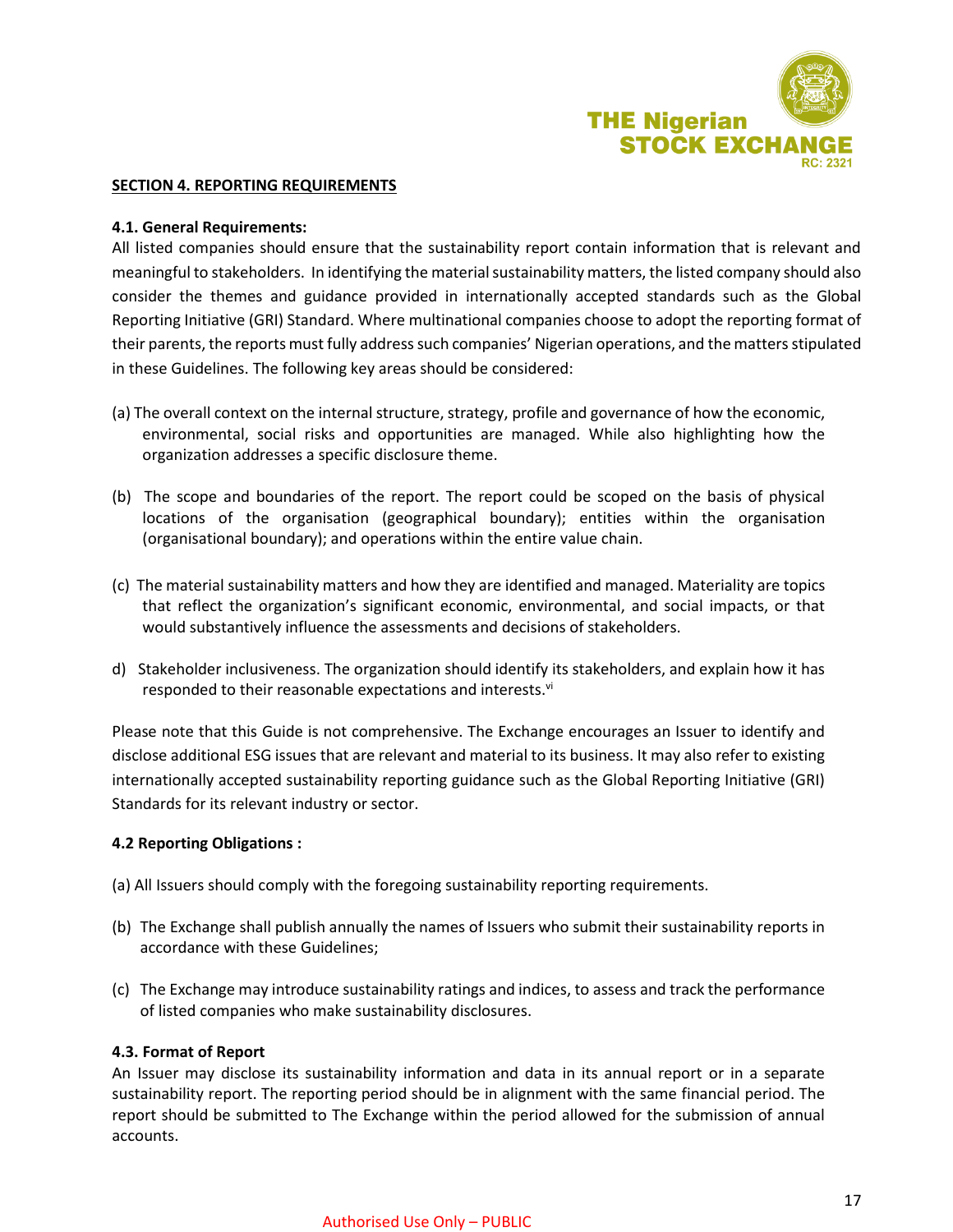

#### **SECTION 4. REPORTING REQUIREMENTS**

## **4.1. General Requirements:**

All listed companies should ensure that the sustainability report contain information that is relevant and meaningful to stakeholders. In identifying the material sustainability matters, the listed company should also consider the themes and guidance provided in internationally accepted standards such as the Global Reporting Initiative (GRI) Standard. Where multinational companies choose to adopt the reporting format of their parents, the reports must fully address such companies' Nigerian operations, and the matters stipulated in these Guidelines. The following key areas should be considered:

- (a) The overall context on the internal structure, strategy, profile and governance of how the economic, environmental, social risks and opportunities are managed. While also highlighting how the organization addresses a specific disclosure theme.
- (b) The scope and boundaries of the report. The report could be scoped on the basis of physical locations of the organisation (geographical boundary); entities within the organisation (organisational boundary); and operations within the entire value chain.
- (c) The material sustainability matters and how they are identified and managed. Materiality are topics that reflect the organization's significant economic, environmental, and social impacts, or that would substantively influence the assessments and decisions of stakeholders.
- d) Stakeholder inclusiveness. The organization should identify its stakeholders, and explain how it has responded to their reasonable expectations and interests.<sup>vi</sup>

Please note that this Guide is not comprehensive. The Exchange encourages an Issuer to identify and disclose additional ESG issues that are relevant and material to its business. It may also refer to existing internationally accepted sustainability reporting guidance such as the Global Reporting Initiative (GRI) Standards for its relevant industry or sector.

## **4.2 Reporting Obligations :**

- (a) All Issuers should comply with the foregoing sustainability reporting requirements.
- (b) The Exchange shall publish annually the names of Issuers who submit their sustainability reports in accordance with these Guidelines;
- (c) The Exchange may introduce sustainability ratings and indices, to assess and track the performance of listed companies who make sustainability disclosures.

#### **4.3. Format of Report**

An Issuer may disclose its sustainability information and data in its annual report or in a separate sustainability report. The reporting period should be in alignment with the same financial period. The report should be submitted to The Exchange within the period allowed for the submission of annual accounts.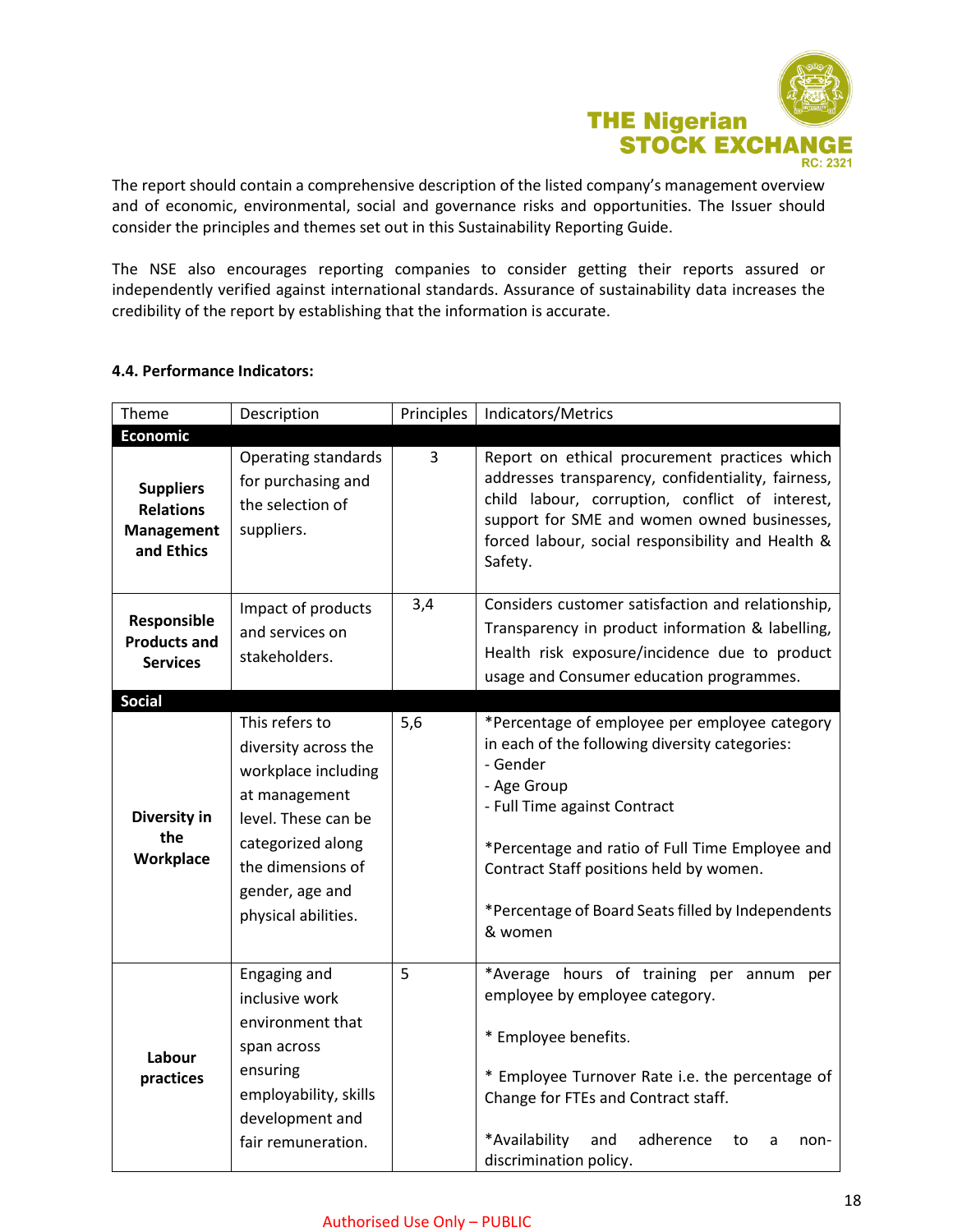

The report should contain a comprehensive description of the listed company's management overview and of economic, environmental, social and governance risks and opportunities. The Issuer should consider the principles and themes set out in this Sustainability Reporting Guide.

The NSE also encourages reporting companies to consider getting their reports assured or independently verified against international standards. Assurance of sustainability data increases the credibility of the report by establishing that the information is accurate.

| 4.4. Performance Indicators: |  |
|------------------------------|--|
|------------------------------|--|

| Theme                                                                   | Description                                                                                                                                                                               | Principles | Indicators/Metrics                                                                                                                                                                                                                                                                                                       |
|-------------------------------------------------------------------------|-------------------------------------------------------------------------------------------------------------------------------------------------------------------------------------------|------------|--------------------------------------------------------------------------------------------------------------------------------------------------------------------------------------------------------------------------------------------------------------------------------------------------------------------------|
| <b>Economic</b>                                                         |                                                                                                                                                                                           |            |                                                                                                                                                                                                                                                                                                                          |
| <b>Suppliers</b><br><b>Relations</b><br><b>Management</b><br>and Ethics | <b>Operating standards</b><br>for purchasing and<br>the selection of<br>suppliers.                                                                                                        | 3          | Report on ethical procurement practices which<br>addresses transparency, confidentiality, fairness,<br>child labour, corruption, conflict of interest,<br>support for SME and women owned businesses,<br>forced labour, social responsibility and Health &<br>Safety.                                                    |
| Responsible<br><b>Products and</b><br><b>Services</b><br><b>Social</b>  | Impact of products<br>and services on<br>stakeholders.                                                                                                                                    | 3,4        | Considers customer satisfaction and relationship,<br>Transparency in product information & labelling,<br>Health risk exposure/incidence due to product<br>usage and Consumer education programmes.                                                                                                                       |
|                                                                         |                                                                                                                                                                                           |            |                                                                                                                                                                                                                                                                                                                          |
| Diversity in<br>the<br>Workplace                                        | This refers to<br>diversity across the<br>workplace including<br>at management<br>level. These can be<br>categorized along<br>the dimensions of<br>gender, age and<br>physical abilities. | 5,6        | *Percentage of employee per employee category<br>in each of the following diversity categories:<br>- Gender<br>- Age Group<br>- Full Time against Contract<br>*Percentage and ratio of Full Time Employee and<br>Contract Staff positions held by women.<br>*Percentage of Board Seats filled by Independents<br>& women |
| Labour<br>practices                                                     | Engaging and<br>inclusive work<br>environment that<br>span across<br>ensuring<br>employability, skills<br>development and<br>fair remuneration.                                           | 5          | *Average hours of training per annum per<br>employee by employee category.<br>* Employee benefits.<br>* Employee Turnover Rate i.e. the percentage of<br>Change for FTEs and Contract staff.<br>*Availability<br>and<br>adherence<br>to<br>a<br>non-<br>discrimination policy.                                           |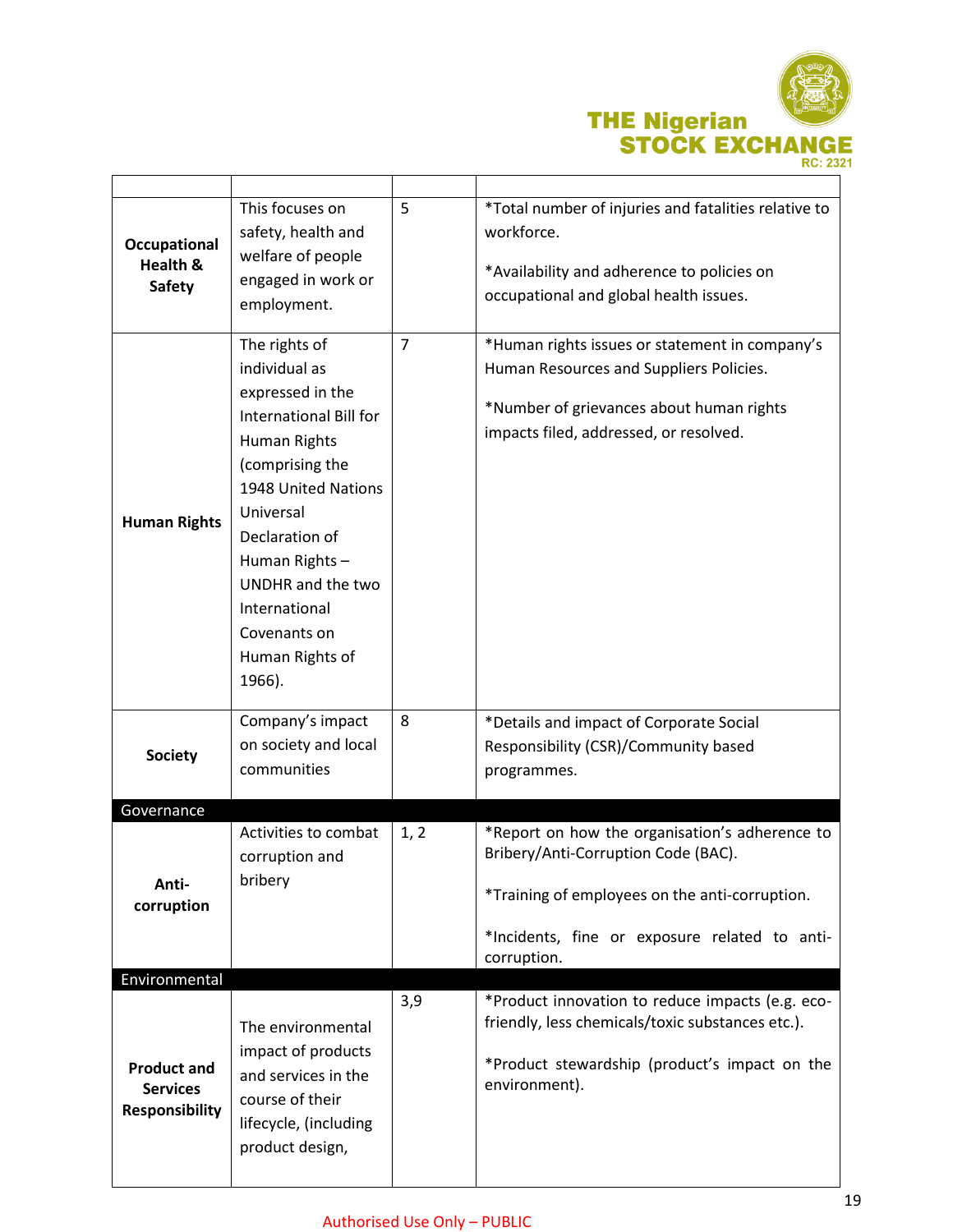

| Occupational<br>Health &<br><b>Safety</b>                      | This focuses on<br>safety, health and<br>welfare of people<br>engaged in work or<br>employment.                                                                                                                                                                           | 5              | *Total number of injuries and fatalities relative to<br>workforce.<br>*Availability and adherence to policies on<br>occupational and global health issues.                                              |
|----------------------------------------------------------------|---------------------------------------------------------------------------------------------------------------------------------------------------------------------------------------------------------------------------------------------------------------------------|----------------|---------------------------------------------------------------------------------------------------------------------------------------------------------------------------------------------------------|
| <b>Human Rights</b>                                            | The rights of<br>individual as<br>expressed in the<br>International Bill for<br>Human Rights<br>(comprising the<br>1948 United Nations<br>Universal<br>Declaration of<br>Human Rights-<br>UNDHR and the two<br>International<br>Covenants on<br>Human Rights of<br>1966). | $\overline{7}$ | *Human rights issues or statement in company's<br>Human Resources and Suppliers Policies.<br>*Number of grievances about human rights<br>impacts filed, addressed, or resolved.                         |
| <b>Society</b>                                                 | Company's impact<br>on society and local<br>communities                                                                                                                                                                                                                   | 8              | *Details and impact of Corporate Social<br>Responsibility (CSR)/Community based<br>programmes.                                                                                                          |
| Governance                                                     |                                                                                                                                                                                                                                                                           |                |                                                                                                                                                                                                         |
| Anti-<br>corruption<br>Environmental                           | Activities to combat<br>corruption and<br>bribery                                                                                                                                                                                                                         | 1, 2           | *Report on how the organisation's adherence to<br>Bribery/Anti-Corruption Code (BAC).<br>*Training of employees on the anti-corruption.<br>*Incidents, fine or exposure related to anti-<br>corruption. |
|                                                                |                                                                                                                                                                                                                                                                           | 3,9            | *Product innovation to reduce impacts (e.g. eco-                                                                                                                                                        |
| <b>Product and</b><br><b>Services</b><br><b>Responsibility</b> | The environmental<br>impact of products<br>and services in the<br>course of their<br>lifecycle, (including<br>product design,                                                                                                                                             |                | friendly, less chemicals/toxic substances etc.).<br>*Product stewardship (product's impact on the<br>environment).                                                                                      |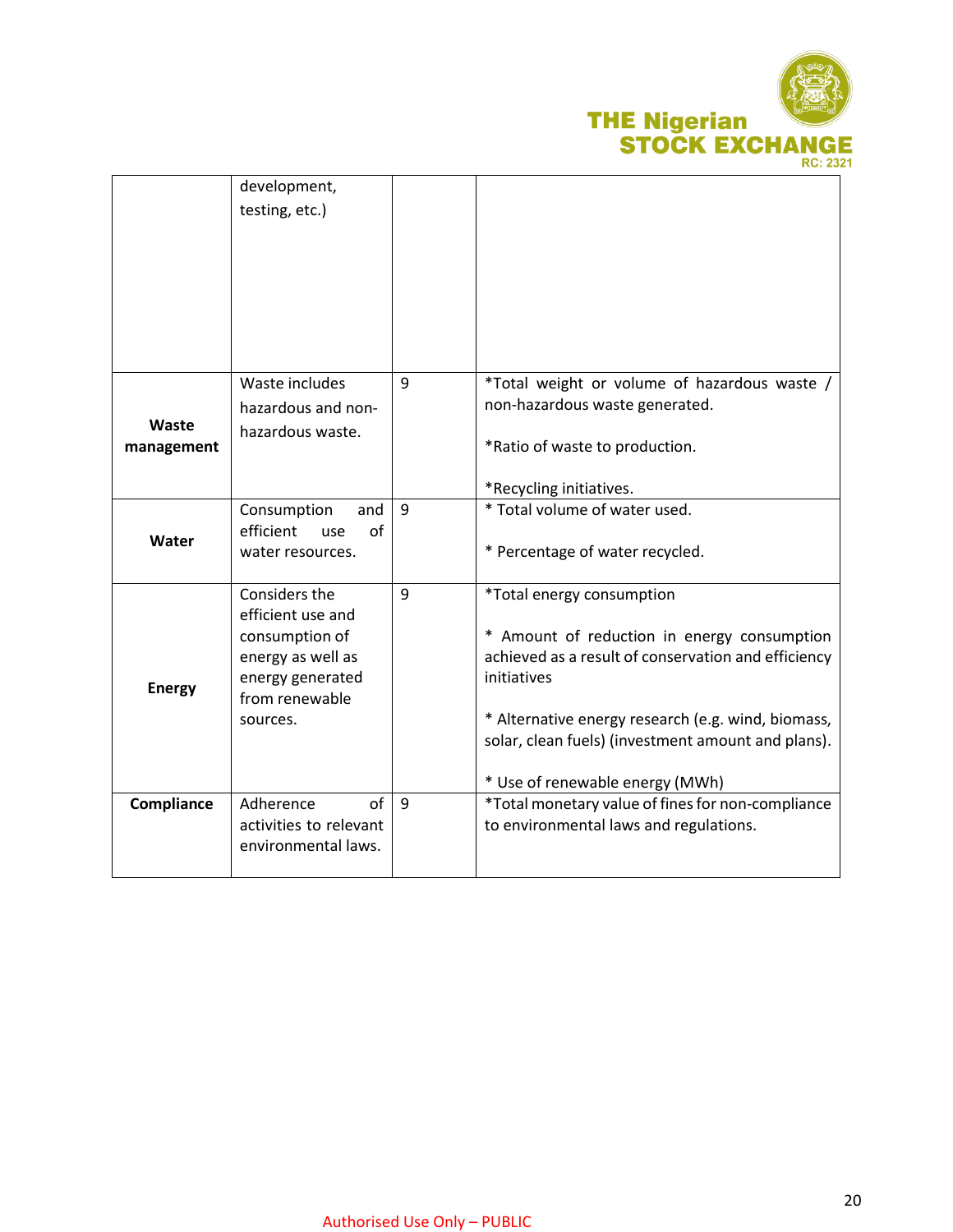

|                     | development,<br>testing, etc.)                                                                 |   |                                                                                                                   |
|---------------------|------------------------------------------------------------------------------------------------|---|-------------------------------------------------------------------------------------------------------------------|
|                     |                                                                                                |   |                                                                                                                   |
|                     | Waste includes                                                                                 | 9 | *Total weight or volume of hazardous waste /<br>non-hazardous waste generated.                                    |
| Waste<br>management | hazardous and non-<br>hazardous waste.                                                         |   | *Ratio of waste to production.<br>*Recycling initiatives.                                                         |
|                     | Consumption<br>and                                                                             | 9 | * Total volume of water used.                                                                                     |
| Water               | efficient<br>of<br>use<br>water resources.                                                     |   | * Percentage of water recycled.                                                                                   |
|                     | Considers the                                                                                  | 9 | *Total energy consumption                                                                                         |
| <b>Energy</b>       | efficient use and<br>consumption of<br>energy as well as<br>energy generated<br>from renewable |   | * Amount of reduction in energy consumption<br>achieved as a result of conservation and efficiency<br>initiatives |
|                     | sources.                                                                                       |   | * Alternative energy research (e.g. wind, biomass,<br>solar, clean fuels) (investment amount and plans).          |
|                     |                                                                                                |   | * Use of renewable energy (MWh)                                                                                   |
| Compliance          | Adherence<br>of<br>activities to relevant<br>environmental laws.                               | 9 | *Total monetary value of fines for non-compliance<br>to environmental laws and regulations.                       |